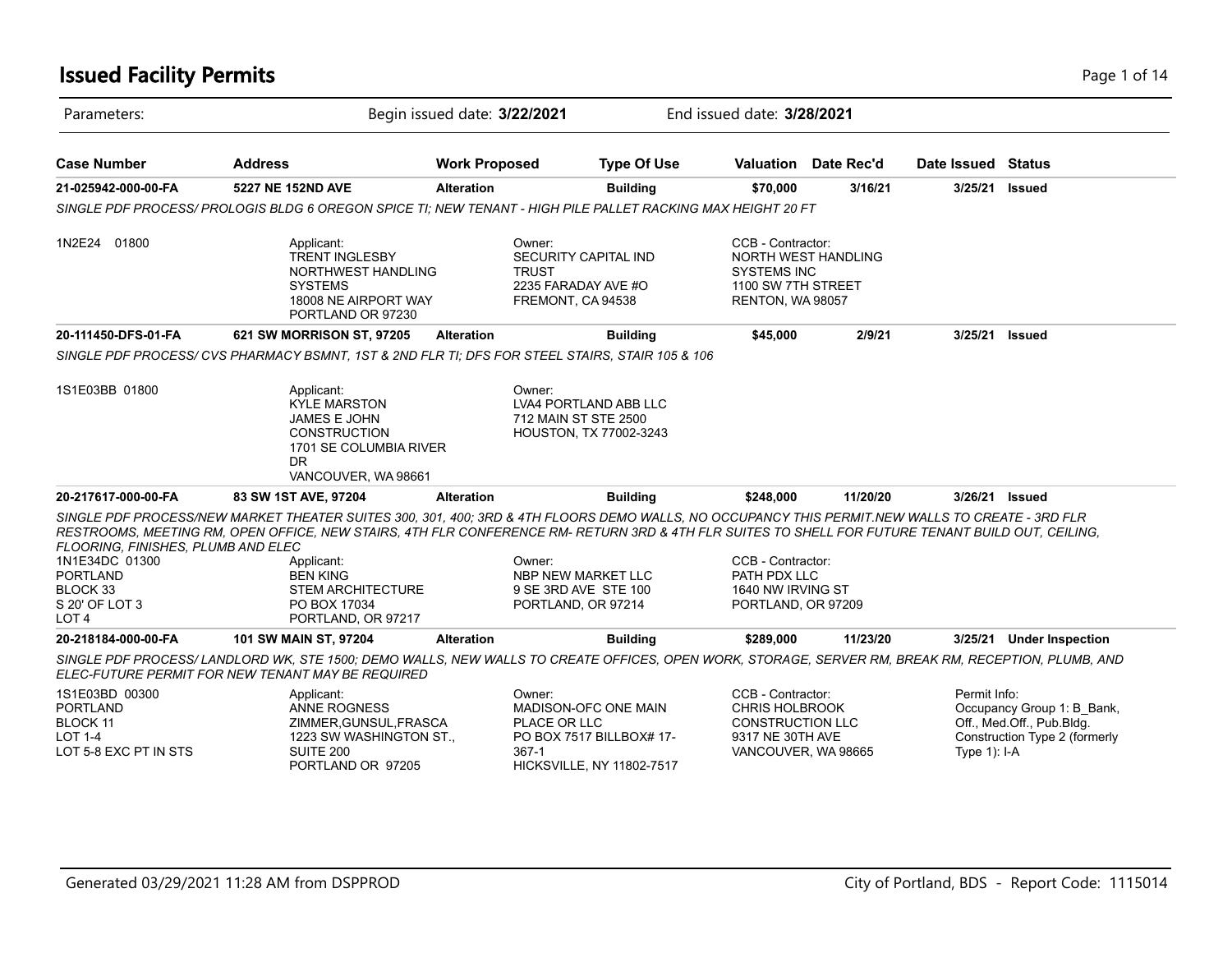### **Issued Facility Permits** Page 1 of 14

| Parameters:                                                                                                    |                                                                                                                                                                                                                                                                                                                                                                                                         | Begin issued date: 3/22/2021 |                                                                                                                  | End issued date: 3/28/2021                                                                                       |                             |                                 |                                                                                          |
|----------------------------------------------------------------------------------------------------------------|---------------------------------------------------------------------------------------------------------------------------------------------------------------------------------------------------------------------------------------------------------------------------------------------------------------------------------------------------------------------------------------------------------|------------------------------|------------------------------------------------------------------------------------------------------------------|------------------------------------------------------------------------------------------------------------------|-----------------------------|---------------------------------|------------------------------------------------------------------------------------------|
| <b>Case Number</b>                                                                                             | <b>Address</b>                                                                                                                                                                                                                                                                                                                                                                                          | <b>Work Proposed</b>         | <b>Type Of Use</b>                                                                                               |                                                                                                                  | <b>Valuation</b> Date Rec'd | Date Issued Status              |                                                                                          |
| 21-025942-000-00-FA                                                                                            | 5227 NE 152ND AVE                                                                                                                                                                                                                                                                                                                                                                                       | <b>Alteration</b>            | <b>Building</b>                                                                                                  | \$70,000                                                                                                         | 3/16/21                     | 3/25/21                         | <b>Issued</b>                                                                            |
|                                                                                                                | SINGLE PDF PROCESS/ PROLOGIS BLDG 6 OREGON SPICE TI: NEW TENANT - HIGH PILE PALLET RACKING MAX HEIGHT 20 FT                                                                                                                                                                                                                                                                                             |                              |                                                                                                                  |                                                                                                                  |                             |                                 |                                                                                          |
| 1N2E24 01800                                                                                                   | Applicant:<br><b>TRENT INGLESBY</b><br>NORTHWEST HANDLING<br><b>SYSTEMS</b><br>18008 NE AIRPORT WAY<br>PORTLAND OR 97230                                                                                                                                                                                                                                                                                |                              | Owner:<br>SECURITY CAPITAL IND<br><b>TRUST</b><br>2235 FARADAY AVE #O<br>FREMONT, CA 94538                       | CCB - Contractor:<br><b>SYSTEMS INC</b><br>1100 SW 7TH STREET<br>RENTON, WA 98057                                | <b>NORTH WEST HANDLING</b>  |                                 |                                                                                          |
| 20-111450-DFS-01-FA                                                                                            | 621 SW MORRISON ST, 97205                                                                                                                                                                                                                                                                                                                                                                               | <b>Alteration</b>            | <b>Building</b>                                                                                                  | \$45,000                                                                                                         | 2/9/21                      | 3/25/21                         | <b>Issued</b>                                                                            |
|                                                                                                                | SINGLE PDF PROCESS/CVS PHARMACY BSMNT, 1ST & 2ND FLR TI; DFS FOR STEEL STAIRS, STAIR 105 & 106                                                                                                                                                                                                                                                                                                          |                              |                                                                                                                  |                                                                                                                  |                             |                                 |                                                                                          |
| 1S1E03BB 01800                                                                                                 | Applicant:<br><b>KYLE MARSTON</b><br><b>JAMES E JOHN</b><br><b>CONSTRUCTION</b><br>1701 SE COLUMBIA RIVER<br>DR.<br>VANCOUVER, WA 98661                                                                                                                                                                                                                                                                 |                              | Owner:<br>LVA4 PORTLAND ABB LLC<br>712 MAIN ST STE 2500<br>HOUSTON, TX 77002-3243                                |                                                                                                                  |                             |                                 |                                                                                          |
| 20-217617-000-00-FA                                                                                            | 83 SW 1ST AVE, 97204                                                                                                                                                                                                                                                                                                                                                                                    | <b>Alteration</b>            | <b>Building</b>                                                                                                  | \$248,000                                                                                                        | 11/20/20                    |                                 | 3/26/21 Issued                                                                           |
| FLOORING, FINISHES, PLUMB AND ELEC<br>1N1E34DC 01300<br><b>PORTLAND</b><br>BLOCK 33<br>S 20' OF LOT 3<br>LOT 4 | SINGLE PDF PROCESS/NEW MARKET THEATER SUITES 300, 301, 400; 3RD & 4TH FLOORS DEMO WALLS, NO OCCUPANCY THIS PERMIT.NEW WALLS TO CREATE - 3RD FLR<br>RESTROOMS, MEETING RM, OPEN OFFICE, NEW STAIRS, 4TH FLR CONFERENCE RM- RETURN 3RD & 4TH FLR SUITES TO SHELL FOR FUTURE TENANT BUILD OUT, CEILING,<br>Applicant:<br><b>BEN KING</b><br><b>STEM ARCHITECTURE</b><br>PO BOX 17034<br>PORTLAND, OR 97217 |                              | Owner:<br>NBP NEW MARKET LLC<br>9 SE 3RD AVE STE 100<br>PORTLAND, OR 97214                                       | CCB - Contractor:<br>PATH PDX LLC<br>1640 NW IRVING ST<br>PORTLAND, OR 97209                                     |                             |                                 |                                                                                          |
| 20-218184-000-00-FA                                                                                            | 101 SW MAIN ST, 97204                                                                                                                                                                                                                                                                                                                                                                                   | <b>Alteration</b>            | <b>Building</b>                                                                                                  | \$289,000                                                                                                        | 11/23/20                    |                                 | 3/25/21 Under Inspection                                                                 |
|                                                                                                                | SINGLE PDF PROCESS/ LANDLORD WK, STE 1500; DEMO WALLS, NEW WALLS TO CREATE OFFICES, OPEN WORK, STORAGE, SERVER RM, BREAK RM, RECEPTION, PLUMB, AND<br>ELEC-FUTURE PERMIT FOR NEW TENANT MAY BE REQUIRED                                                                                                                                                                                                 |                              |                                                                                                                  |                                                                                                                  |                             |                                 |                                                                                          |
| 1S1E03BD 00300<br><b>PORTLAND</b><br><b>BLOCK 11</b><br><b>LOT 1-4</b><br>LOT 5-8 EXC PT IN STS                | Applicant:<br>ANNE ROGNESS<br>ZIMMER, GUNSUL, FRASCA<br>1223 SW WASHINGTON ST.,<br>SUITE 200<br>PORTLAND OR 97205                                                                                                                                                                                                                                                                                       |                              | Owner:<br>MADISON-OFC ONE MAIN<br>PLACE OR LLC<br>PO BOX 7517 BILLBOX# 17-<br>367-1<br>HICKSVILLE, NY 11802-7517 | CCB - Contractor:<br><b>CHRIS HOLBROOK</b><br><b>CONSTRUCTION LLC</b><br>9317 NE 30TH AVE<br>VANCOUVER, WA 98665 |                             | Permit Info:<br>Type $1$ ): I-A | Occupancy Group 1: B Bank,<br>Off., Med.Off., Pub.Bldg.<br>Construction Type 2 (formerly |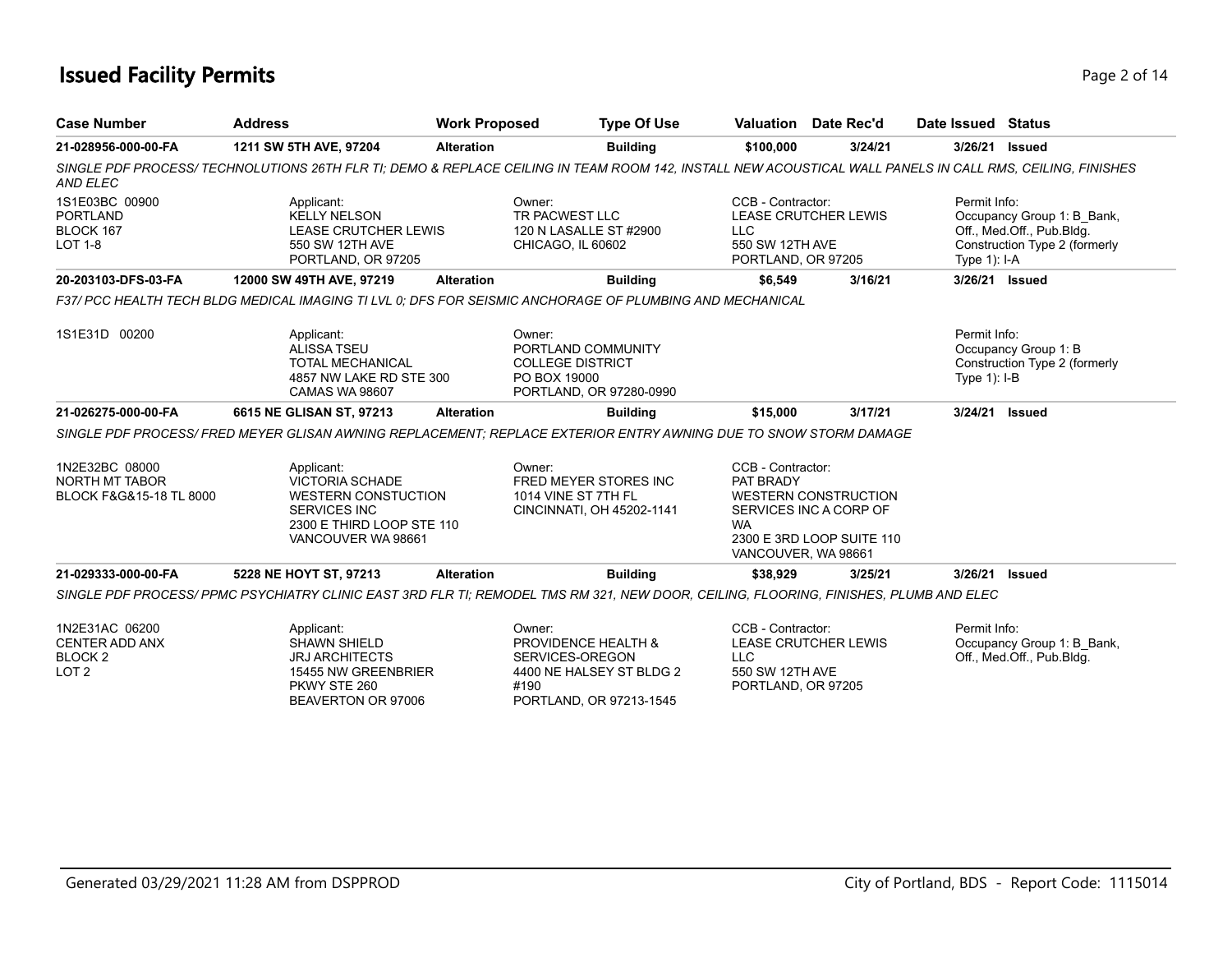### **Issued Facility Permits** Page 2 of 14

| <b>Case Number</b>                                                         | <b>Address</b>                                                                                                                                            | <b>Work Proposed</b> | <b>Type Of Use</b>                                                                                              |                                                                          | Valuation Date Rec'd                                                               | Date Issued Status             |                                                                                          |
|----------------------------------------------------------------------------|-----------------------------------------------------------------------------------------------------------------------------------------------------------|----------------------|-----------------------------------------------------------------------------------------------------------------|--------------------------------------------------------------------------|------------------------------------------------------------------------------------|--------------------------------|------------------------------------------------------------------------------------------|
| 21-028956-000-00-FA                                                        | 1211 SW 5TH AVE, 97204                                                                                                                                    | <b>Alteration</b>    | <b>Building</b>                                                                                                 | \$100,000                                                                | 3/24/21                                                                            |                                | 3/26/21 Issued                                                                           |
| AND ELEC                                                                   | SINGLE PDF PROCESS/ TECHNOLUTIONS 26TH FLR TI; DEMO & REPLACE CEILING IN TEAM ROOM 142, INSTALL NEW ACOUSTICAL WALL PANELS IN CALL RMS, CEILING, FINISHES |                      |                                                                                                                 |                                                                          |                                                                                    |                                |                                                                                          |
| 1S1E03BC 00900<br><b>PORTLAND</b><br>BLOCK 167<br><b>LOT 1-8</b>           | Applicant:<br><b>KELLY NELSON</b><br>LEASE CRUTCHER LEWIS<br>550 SW 12TH AVE<br>PORTLAND, OR 97205                                                        |                      | Owner:<br>TR PACWEST LLC<br>120 N LASALLE ST #2900<br>CHICAGO, IL 60602                                         | CCB - Contractor:<br><b>LLC</b><br>550 SW 12TH AVE<br>PORTLAND, OR 97205 | <b>LEASE CRUTCHER LEWIS</b>                                                        | Permit Info:<br>Type $1$ : I-A | Occupancy Group 1: B_Bank,<br>Off., Med.Off., Pub.Bldg.<br>Construction Type 2 (formerly |
| 20-203103-DFS-03-FA                                                        | 12000 SW 49TH AVE, 97219                                                                                                                                  | <b>Alteration</b>    | <b>Building</b>                                                                                                 | \$6,549                                                                  | 3/16/21                                                                            |                                | 3/26/21 Issued                                                                           |
|                                                                            | F37/ PCC HEALTH TECH BLDG MEDICAL IMAGING TI LVL 0; DFS FOR SEISMIC ANCHORAGE OF PLUMBING AND MECHANICAL                                                  |                      |                                                                                                                 |                                                                          |                                                                                    |                                |                                                                                          |
| 1S1E31D 00200                                                              | Applicant:<br><b>ALISSA TSEU</b><br><b>TOTAL MECHANICAL</b><br>4857 NW LAKE RD STE 300<br>CAMAS WA 98607                                                  |                      | Owner:<br>PORTLAND COMMUNITY<br><b>COLLEGE DISTRICT</b><br>PO BOX 19000<br>PORTLAND, OR 97280-0990              |                                                                          |                                                                                    | Permit Info:<br>Type $1$ : I-B | Occupancy Group 1: B<br>Construction Type 2 (formerly                                    |
| 21-026275-000-00-FA                                                        | 6615 NE GLISAN ST, 97213                                                                                                                                  | <b>Alteration</b>    | <b>Building</b>                                                                                                 | \$15,000                                                                 | 3/17/21                                                                            |                                | 3/24/21 Issued                                                                           |
|                                                                            | SINGLE PDF PROCESS/ FRED MEYER GLISAN AWNING REPLACEMENT: REPLACE EXTERIOR ENTRY AWNING DUE TO SNOW STORM DAMAGE                                          |                      |                                                                                                                 |                                                                          |                                                                                    |                                |                                                                                          |
| 1N2E32BC 08000<br>NORTH MT TABOR<br>BLOCK F&G&15-18 TL 8000                | Applicant:<br><b>VICTORIA SCHADE</b><br><b>WESTERN CONSTUCTION</b><br><b>SERVICES INC</b><br>2300 E THIRD LOOP STE 110<br>VANCOUVER WA 98661              |                      | Owner:<br>FRED MEYER STORES INC<br>1014 VINE ST 7TH FL<br>CINCINNATI, OH 45202-1141                             | CCB - Contractor:<br>PAT BRADY<br><b>WA</b><br>VANCOUVER, WA 98661       | <b>WESTERN CONSTRUCTION</b><br>SERVICES INC A CORP OF<br>2300 E 3RD LOOP SUITE 110 |                                |                                                                                          |
| 21-029333-000-00-FA                                                        | 5228 NE HOYT ST, 97213                                                                                                                                    | <b>Alteration</b>    | <b>Building</b>                                                                                                 | \$38.929                                                                 | 3/25/21                                                                            |                                | 3/26/21 Issued                                                                           |
|                                                                            | SINGLE PDF PROCESS/PPMC PSYCHIATRY CLINIC EAST 3RD FLR TI; REMODEL TMS RM 321, NEW DOOR, CEILING, FLOORING, FINISHES, PLUMB AND ELEC                      |                      |                                                                                                                 |                                                                          |                                                                                    |                                |                                                                                          |
| 1N2E31AC 06200<br>CENTER ADD ANX<br>BLOCK <sub>2</sub><br>LOT <sub>2</sub> | Applicant:<br><b>SHAWN SHIELD</b><br><b>JRJ ARCHITECTS</b><br>15455 NW GREENBRIER<br>PKWY STE 260<br>BEAVERTON OR 97006                                   |                      | Owner:<br>PROVIDENCE HEALTH &<br>SERVICES-OREGON<br>4400 NE HALSEY ST BLDG 2<br>#190<br>PORTLAND, OR 97213-1545 | CCB - Contractor:<br><b>LLC</b><br>550 SW 12TH AVE<br>PORTLAND, OR 97205 | <b>LEASE CRUTCHER LEWIS</b>                                                        | Permit Info:                   | Occupancy Group 1: B_Bank,<br>Off., Med.Off., Pub.Bldg.                                  |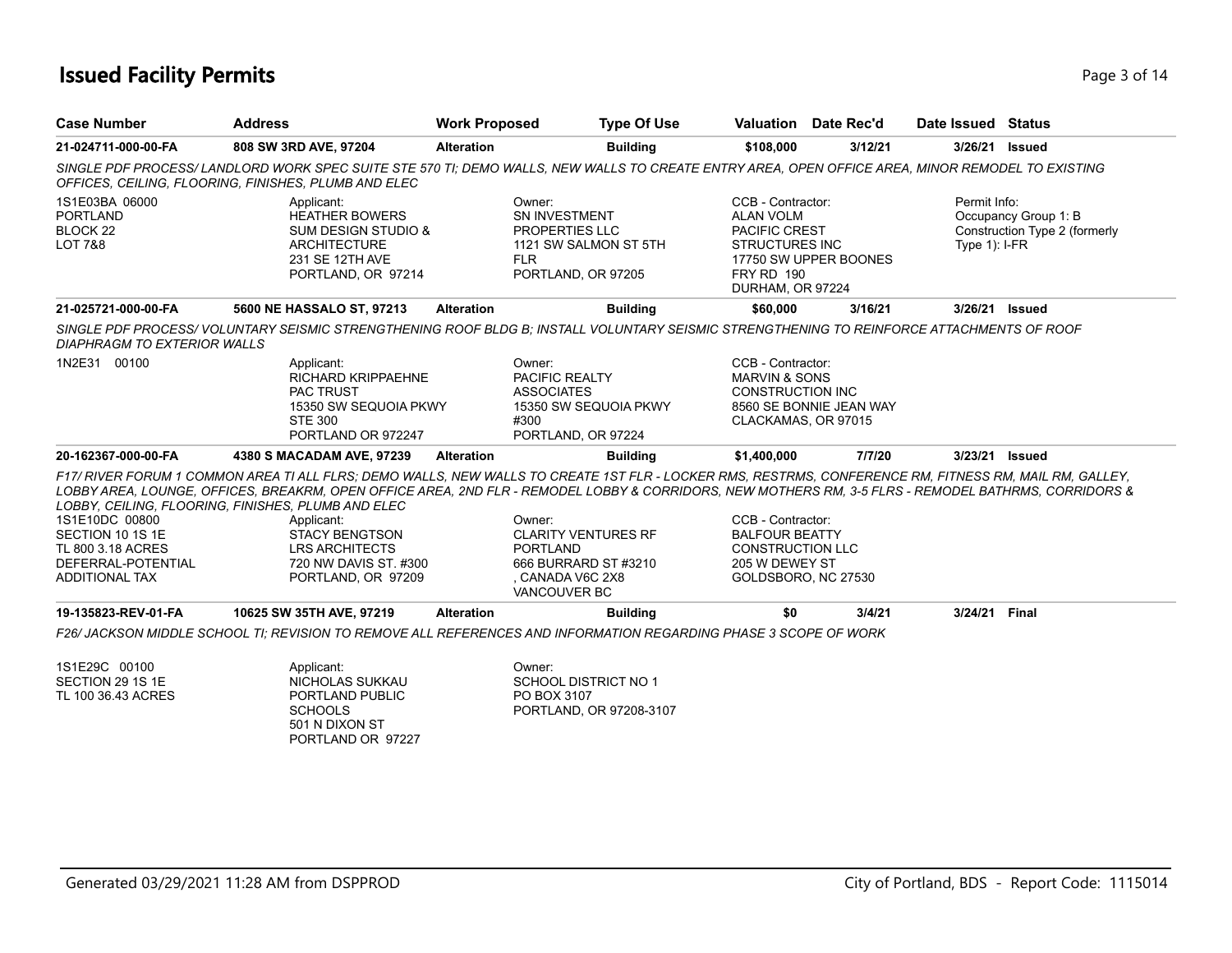### **Issued Facility Permits** Page 1 of 14

| <b>Case Number</b>                                                                                     | <b>Address</b>                                                                                                                                                                                                                                                                                                                                                       | <b>Work Proposed</b>      | <b>Type Of Use</b>                                                                     |                                                                                                                                 | <b>Valuation</b> Date Rec'd | Date Issued Status              |                                                       |
|--------------------------------------------------------------------------------------------------------|----------------------------------------------------------------------------------------------------------------------------------------------------------------------------------------------------------------------------------------------------------------------------------------------------------------------------------------------------------------------|---------------------------|----------------------------------------------------------------------------------------|---------------------------------------------------------------------------------------------------------------------------------|-----------------------------|---------------------------------|-------------------------------------------------------|
| 21-024711-000-00-FA                                                                                    | 808 SW 3RD AVE, 97204                                                                                                                                                                                                                                                                                                                                                | <b>Alteration</b>         | <b>Building</b>                                                                        | \$108,000                                                                                                                       | 3/12/21                     | 3/26/21 Issued                  |                                                       |
|                                                                                                        | SINGLE PDF PROCESS/ LANDLORD WORK SPEC SUITE STE 570 TI; DEMO WALLS, NEW WALLS TO CREATE ENTRY AREA, OPEN OFFICE AREA, MINOR REMODEL TO EXISTING<br>OFFICES, CEILING, FLOORING, FINISHES, PLUMB AND ELEC                                                                                                                                                             |                           |                                                                                        |                                                                                                                                 |                             |                                 |                                                       |
| 1S1E03BA 06000<br><b>PORTLAND</b><br>BLOCK 22<br>LOT 7&8                                               | Applicant:<br><b>HEATHER BOWERS</b><br><b>SUM DESIGN STUDIO &amp;</b><br><b>ARCHITECTURE</b><br>231 SE 12TH AVE<br>PORTLAND, OR 97214                                                                                                                                                                                                                                | Owner:<br><b>FLR</b>      | SN INVESTMENT<br>PROPERTIES LLC<br>1121 SW SALMON ST 5TH<br>PORTLAND, OR 97205         | CCB - Contractor:<br><b>ALAN VOLM</b><br><b>PACIFIC CREST</b><br><b>STRUCTURES INC</b><br><b>FRY RD 190</b><br>DURHAM, OR 97224 | 17750 SW UPPER BOONES       | Permit Info:<br>Type $1$ : I-FR | Occupancy Group 1: B<br>Construction Type 2 (formerly |
| 21-025721-000-00-FA                                                                                    | 5600 NE HASSALO ST, 97213                                                                                                                                                                                                                                                                                                                                            | <b>Alteration</b>         | <b>Building</b>                                                                        | \$60,000                                                                                                                        | 3/16/21                     | 3/26/21 Issued                  |                                                       |
| DIAPHRAGM TO EXTERIOR WALLS                                                                            | SINGLE PDF PROCESS/ VOLUNTARY SEISMIC STRENGTHENING ROOF BLDG B: INSTALL VOLUNTARY SEISMIC STRENGTHENING TO REINFORCE ATTACHMENTS OF ROOF                                                                                                                                                                                                                            |                           |                                                                                        |                                                                                                                                 |                             |                                 |                                                       |
| 1N2E31 00100                                                                                           | Applicant:<br><b>RICHARD KRIPPAEHNE</b><br><b>PAC TRUST</b><br>15350 SW SEQUOIA PKWY<br><b>STE 300</b><br>PORTLAND OR 972247                                                                                                                                                                                                                                         | Owner:<br>#300            | PACIFIC REALTY<br><b>ASSOCIATES</b><br>15350 SW SEQUOIA PKWY<br>PORTLAND, OR 97224     | CCB - Contractor:<br><b>MARVIN &amp; SONS</b><br><b>CONSTRUCTION INC</b><br>CLACKAMAS, OR 97015                                 | 8560 SE BONNIE JEAN WAY     |                                 |                                                       |
| 20-162367-000-00-FA                                                                                    | 4380 S MACADAM AVE, 97239                                                                                                                                                                                                                                                                                                                                            | <b>Alteration</b>         | <b>Building</b>                                                                        | \$1,400,000                                                                                                                     | 7/7/20                      | 3/23/21 Issued                  |                                                       |
|                                                                                                        | F17/ RIVER FORUM 1 COMMON AREA TI ALL FLRS: DEMO WALLS. NEW WALLS TO CREATE 1ST FLR - LOCKER RMS. RESTRMS. CONFERENCE RM. FITNESS RM. MAIL RM. GALLEY.<br>LOBBY AREA. LOUNGE. OFFICES. BREAKRM. OPEN OFFICE AREA. 2ND FLR - REMODEL LOBBY & CORRIDORS. NEW MOTHERS RM. 3-5 FLRS - REMODEL BATHRMS. CORRIDORS &<br>LOBBY, CEILING, FLOORING, FINISHES, PLUMB AND ELEC |                           |                                                                                        |                                                                                                                                 |                             |                                 |                                                       |
| 1S1E10DC 00800<br>SECTION 10 1S 1E<br>TL 800 3.18 ACRES<br>DEFERRAL-POTENTIAL<br><b>ADDITIONAL TAX</b> | Applicant:<br><b>STACY BENGTSON</b><br><b>LRS ARCHITECTS</b><br>720 NW DAVIS ST. #300<br>PORTLAND, OR 97209                                                                                                                                                                                                                                                          | Owner:<br><b>PORTLAND</b> | <b>CLARITY VENTURES RF</b><br>666 BURRARD ST #3210<br>, CANADA V6C 2X8<br>VANCOUVER BC | CCB - Contractor:<br><b>BALFOUR BEATTY</b><br><b>CONSTRUCTION LLC</b><br>205 W DEWEY ST<br>GOLDSBORO, NC 27530                  |                             |                                 |                                                       |
| 19-135823-REV-01-FA                                                                                    | 10625 SW 35TH AVE, 97219                                                                                                                                                                                                                                                                                                                                             | <b>Alteration</b>         | <b>Building</b>                                                                        | \$0                                                                                                                             | 3/4/21                      | 3/24/21                         | <b>Final</b>                                          |
|                                                                                                        | F26/ JACKSON MIDDLE SCHOOL TI: REVISION TO REMOVE ALL REFERENCES AND INFORMATION REGARDING PHASE 3 SCOPE OF WORK                                                                                                                                                                                                                                                     |                           |                                                                                        |                                                                                                                                 |                             |                                 |                                                       |
| 1S1E29C 00100<br>SECTION 29 1S 1E<br>TL 100 36.43 ACRES                                                | Applicant:<br>NICHOLAS SUKKAU<br>PORTLAND PUBLIC<br><b>SCHOOLS</b><br>501 N DIXON ST                                                                                                                                                                                                                                                                                 | Owner:                    | <b>SCHOOL DISTRICT NO 1</b><br>PO BOX 3107<br>PORTLAND, OR 97208-3107                  |                                                                                                                                 |                             |                                 |                                                       |

PORTLAND OR 97227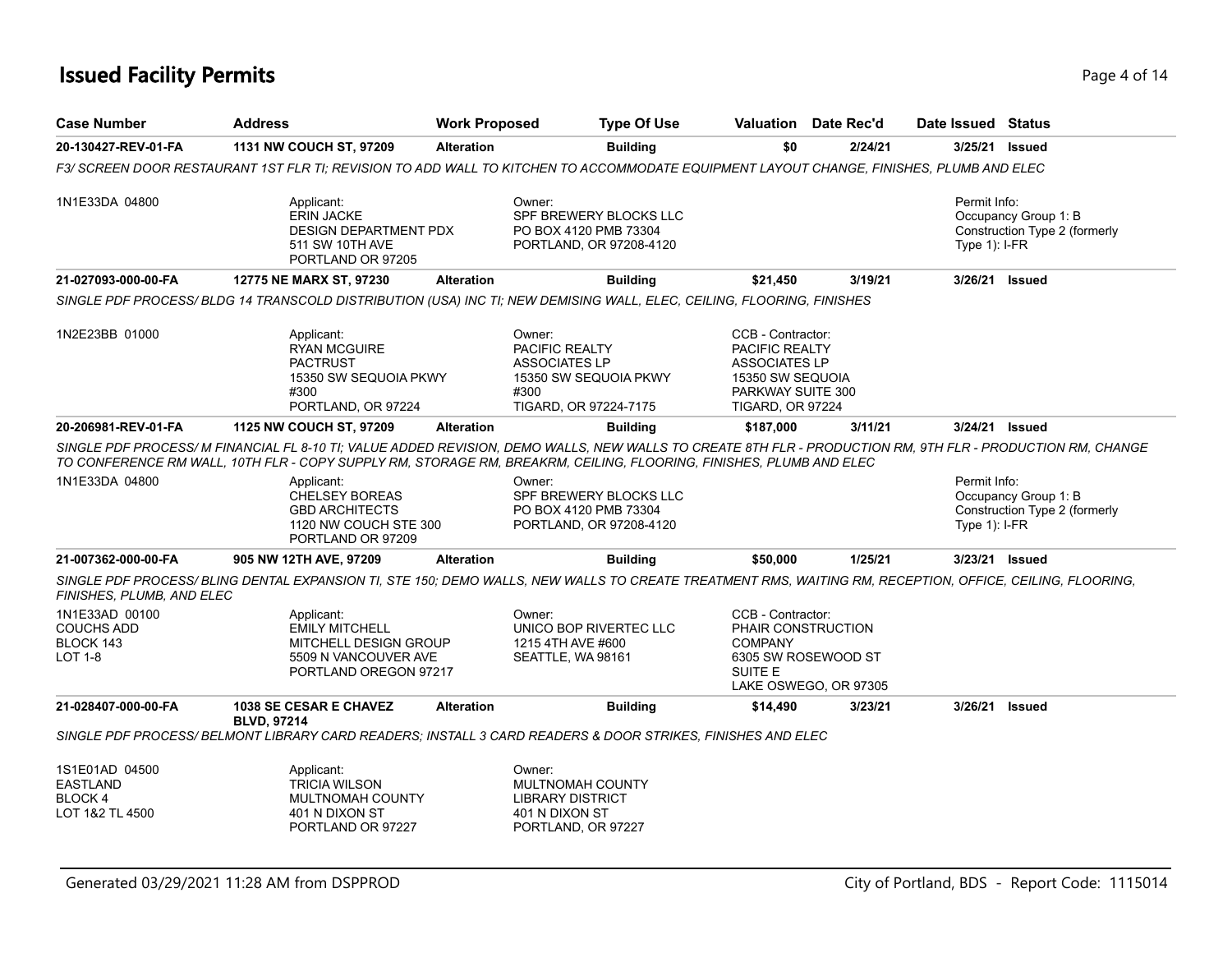### **Issued Facility Permits** Page 4 of 14

| <b>Case Number</b>                                                 | <b>Address</b>                                                                                                                                                                                                                                                                  | <b>Work Proposed</b> | <b>Type Of Use</b>                                                                                         |                                                                                                                                 | Valuation Date Rec'd                                               | Date Issued Status               |                                                       |
|--------------------------------------------------------------------|---------------------------------------------------------------------------------------------------------------------------------------------------------------------------------------------------------------------------------------------------------------------------------|----------------------|------------------------------------------------------------------------------------------------------------|---------------------------------------------------------------------------------------------------------------------------------|--------------------------------------------------------------------|----------------------------------|-------------------------------------------------------|
| 20-130427-REV-01-FA                                                | 1131 NW COUCH ST, 97209                                                                                                                                                                                                                                                         | <b>Alteration</b>    | <b>Building</b>                                                                                            | \$0                                                                                                                             | 2/24/21                                                            |                                  | 3/25/21 Issued                                        |
|                                                                    | F3/ SCREEN DOOR RESTAURANT 1ST FLR TI; REVISION TO ADD WALL TO KITCHEN TO ACCOMMODATE EQUIPMENT LAYOUT CHANGE, FINISHES, PLUMB AND ELEC                                                                                                                                         |                      |                                                                                                            |                                                                                                                                 |                                                                    |                                  |                                                       |
| 1N1E33DA 04800                                                     | Applicant:<br><b>ERIN JACKE</b><br><b>DESIGN DEPARTMENT PDX</b><br>511 SW 10TH AVE<br>PORTLAND OR 97205                                                                                                                                                                         |                      | Owner:<br>SPF BREWERY BLOCKS LLC<br>PO BOX 4120 PMB 73304<br>PORTLAND, OR 97208-4120                       |                                                                                                                                 |                                                                    | Permit Info:<br>Type $1$ ): I-FR | Occupancy Group 1: B<br>Construction Type 2 (formerly |
| 21-027093-000-00-FA                                                | 12775 NE MARX ST, 97230                                                                                                                                                                                                                                                         | <b>Alteration</b>    | <b>Building</b>                                                                                            | \$21,450                                                                                                                        | 3/19/21                                                            |                                  | 3/26/21 Issued                                        |
|                                                                    | SINGLE PDF PROCESS/ BLDG 14 TRANSCOLD DISTRIBUTION (USA) INC TI; NEW DEMISING WALL, ELEC, CEILING, FLOORING, FINISHES                                                                                                                                                           |                      |                                                                                                            |                                                                                                                                 |                                                                    |                                  |                                                       |
| 1N2E23BB 01000                                                     | Applicant:<br><b>RYAN MCGUIRE</b><br><b>PACTRUST</b><br>15350 SW SEQUOIA PKWY<br>#300<br>PORTLAND, OR 97224                                                                                                                                                                     |                      | Owner:<br>PACIFIC REALTY<br><b>ASSOCIATES LP</b><br>15350 SW SEQUOIA PKWY<br>#300<br>TIGARD, OR 97224-7175 | CCB - Contractor:<br>PACIFIC REALTY<br><b>ASSOCIATES LP</b><br>15350 SW SEQUOIA<br>PARKWAY SUITE 300<br><b>TIGARD, OR 97224</b> |                                                                    |                                  |                                                       |
| 20-206981-REV-01-FA                                                | 1125 NW COUCH ST, 97209                                                                                                                                                                                                                                                         | <b>Alteration</b>    | <b>Building</b>                                                                                            | \$187,000                                                                                                                       | 3/11/21                                                            |                                  | 3/24/21 Issued                                        |
|                                                                    | SINGLE PDF PROCESS/M FINANCIAL FL 8-10 TI; VALUE ADDED REVISION, DEMO WALLS, NEW WALLS TO CREATE 8TH FLR - PRODUCTION RM, 9TH FLR - PRODUCTION RM, CHANGE<br>TO CONFERENCE RM WALL, 10TH FLR - COPY SUPPLY RM, STORAGE RM, BREAKRM, CEILING, FLOORING, FINISHES, PLUMB AND ELEC |                      |                                                                                                            |                                                                                                                                 |                                                                    |                                  |                                                       |
| 1N1E33DA 04800                                                     | Applicant:<br><b>CHELSEY BOREAS</b><br><b>GBD ARCHITECTS</b><br>1120 NW COUCH STE 300<br>PORTLAND OR 97209                                                                                                                                                                      |                      | Owner:<br>SPF BREWERY BLOCKS LLC<br>PO BOX 4120 PMB 73304<br>PORTLAND, OR 97208-4120                       |                                                                                                                                 |                                                                    | Permit Info:<br>Type $1$ : I-FR  | Occupancy Group 1: B<br>Construction Type 2 (formerly |
| 21-007362-000-00-FA                                                | 905 NW 12TH AVE, 97209                                                                                                                                                                                                                                                          | <b>Alteration</b>    | <b>Building</b>                                                                                            | \$50,000                                                                                                                        | 1/25/21                                                            |                                  | 3/23/21 Issued                                        |
| FINISHES, PLUMB, AND ELEC                                          | SINGLE PDF PROCESS/ BLING DENTAL EXPANSION TI, STE 150; DEMO WALLS, NEW WALLS TO CREATE TREATMENT RMS, WAITING RM, RECEPTION, OFFICE, CEILING, FLOORING,                                                                                                                        |                      |                                                                                                            |                                                                                                                                 |                                                                    |                                  |                                                       |
| 1N1E33AD 00100<br><b>COUCHS ADD</b><br>BLOCK 143<br><b>LOT 1-8</b> | Applicant:<br><b>EMILY MITCHELL</b><br>MITCHELL DESIGN GROUP<br>5509 N VANCOUVER AVE<br>PORTLAND OREGON 97217                                                                                                                                                                   |                      | Owner:<br>UNICO BOP RIVERTEC LLC<br>1215 4TH AVE #600<br>SEATTLE, WA 98161                                 | CCB - Contractor:<br><b>COMPANY</b><br>SUITE E                                                                                  | PHAIR CONSTRUCTION<br>6305 SW ROSEWOOD ST<br>LAKE OSWEGO, OR 97305 |                                  |                                                       |
| 21-028407-000-00-FA                                                | <b>1038 SE CESAR E CHAVEZ</b><br><b>BLVD. 97214</b>                                                                                                                                                                                                                             | <b>Alteration</b>    | <b>Building</b>                                                                                            | \$14,490                                                                                                                        | 3/23/21                                                            |                                  | 3/26/21 Issued                                        |
|                                                                    | SINGLE PDF PROCESS/ BELMONT LIBRARY CARD READERS; INSTALL 3 CARD READERS & DOOR STRIKES, FINISHES AND ELEC                                                                                                                                                                      |                      |                                                                                                            |                                                                                                                                 |                                                                    |                                  |                                                       |
| 1S1E01AD 04500<br><b>EASTLAND</b><br>BLOCK 4<br>LOT 1&2 TL 4500    | Applicant:<br><b>TRICIA WILSON</b><br>MULTNOMAH COUNTY<br>401 N DIXON ST<br>PORTLAND OR 97227                                                                                                                                                                                   |                      | Owner:<br>MULTNOMAH COUNTY<br><b>LIBRARY DISTRICT</b><br>401 N DIXON ST<br>PORTLAND, OR 97227              |                                                                                                                                 |                                                                    |                                  |                                                       |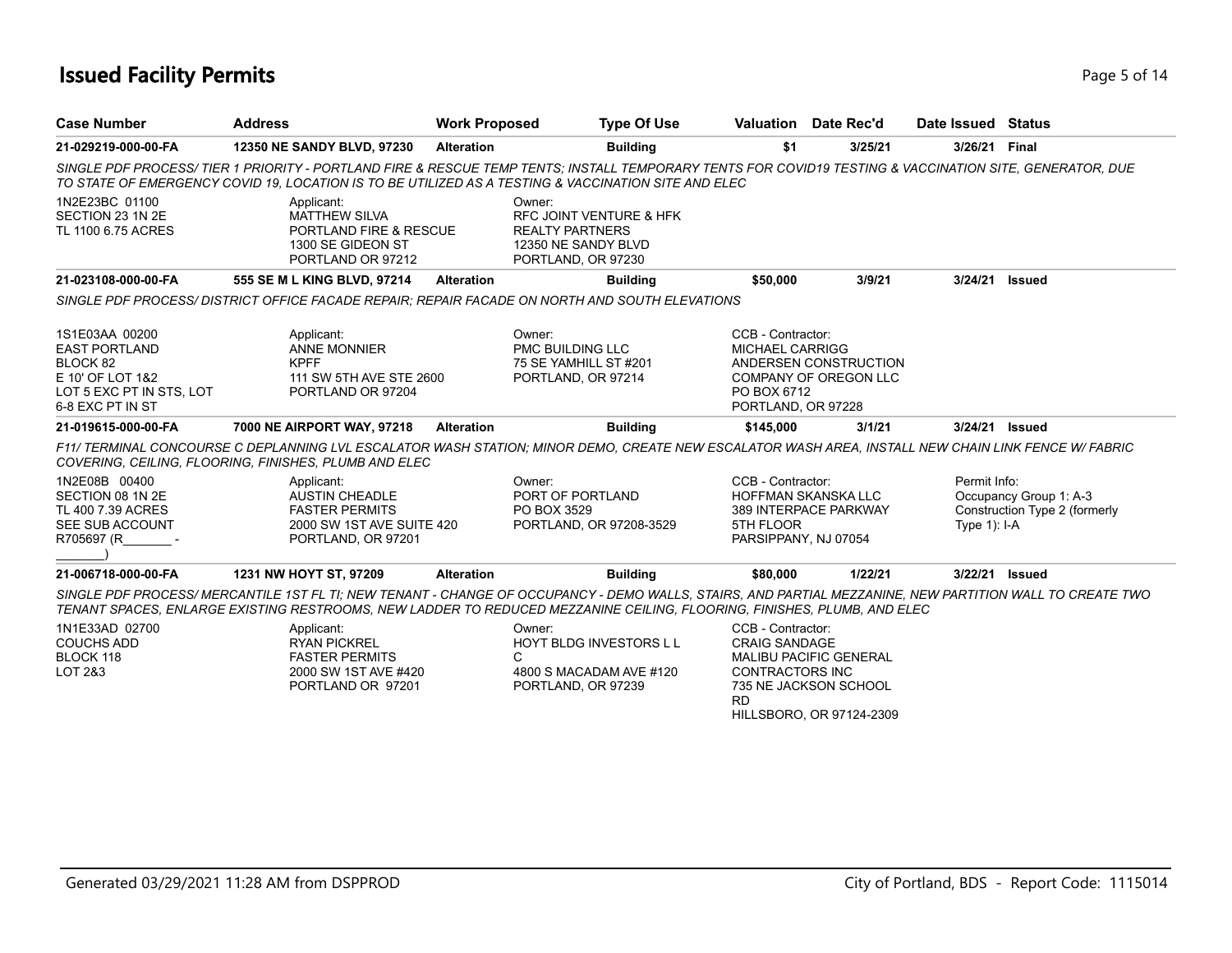### **Issued Facility Permits** Page 1 2 and 2 and 2 and 2 and 2 and 2 and 2 and 2 and 2 and 2 and 2 and 2 and 2 and 2 and 2 and 2 and 2 and 2 and 2 and 2 and 2 and 2 and 2 and 2 and 2 and 2 and 2 and 2 and 2 and 2 and 2 and 2 a

| <b>Case Number</b>                                                                                                     | <b>Address</b>                                                                                                  | <b>Work Proposed</b> | <b>Type Of Use</b>                                                                                                                                                                                                                                                                  |                                                                                  | Valuation Date Rec'd                                                               | Date Issued Status             |                                                         |
|------------------------------------------------------------------------------------------------------------------------|-----------------------------------------------------------------------------------------------------------------|----------------------|-------------------------------------------------------------------------------------------------------------------------------------------------------------------------------------------------------------------------------------------------------------------------------------|----------------------------------------------------------------------------------|------------------------------------------------------------------------------------|--------------------------------|---------------------------------------------------------|
| 21-029219-000-00-FA                                                                                                    | 12350 NE SANDY BLVD, 97230                                                                                      | <b>Alteration</b>    | <b>Building</b>                                                                                                                                                                                                                                                                     | \$1                                                                              | 3/25/21                                                                            | 3/26/21 Final                  |                                                         |
|                                                                                                                        |                                                                                                                 |                      | SINGLE PDF PROCESS/TIER 1 PRIORITY - PORTLAND FIRE & RESCUE TEMP TENTS: INSTALL TEMPORARY TENTS FOR COVID19 TESTING & VACCINATION SITE, GENERATOR, DUE<br>TO STATE OF EMERGENCY COVID 19. LOCATION IS TO BE UTILIZED AS A TESTING & VACCINATION SITE AND ELEC                       |                                                                                  |                                                                                    |                                |                                                         |
| 1N2E23BC 01100<br>SECTION 23 1N 2E<br>TL 1100 6.75 ACRES                                                               | Applicant:<br><b>MATTHEW SILVA</b><br>PORTLAND FIRE & RESCUE<br>1300 SE GIDEON ST<br>PORTLAND OR 97212          |                      | Owner:<br><b>RFC JOINT VENTURE &amp; HFK</b><br><b>REALTY PARTNERS</b><br>12350 NE SANDY BLVD<br>PORTLAND, OR 97230                                                                                                                                                                 |                                                                                  |                                                                                    |                                |                                                         |
| 21-023108-000-00-FA                                                                                                    | 555 SE M L KING BLVD, 97214                                                                                     | <b>Alteration</b>    | <b>Building</b>                                                                                                                                                                                                                                                                     | \$50,000                                                                         | 3/9/21                                                                             | 3/24/21 Issued                 |                                                         |
|                                                                                                                        |                                                                                                                 |                      | SINGLE PDF PROCESS/DISTRICT OFFICE FACADE REPAIR; REPAIR FACADE ON NORTH AND SOUTH ELEVATIONS                                                                                                                                                                                       |                                                                                  |                                                                                    |                                |                                                         |
| 1S1E03AA 00200<br><b>EAST PORTLAND</b><br>BLOCK 82<br>E 10' OF LOT 1&2<br>LOT 5 EXC PT IN STS, LOT<br>6-8 EXC PT IN ST | Applicant:<br><b>ANNE MONNIER</b><br><b>KPFF</b><br>111 SW 5TH AVE STE 2600<br>PORTLAND OR 97204                |                      | Owner:<br><b>PMC BUILDING LLC</b><br>75 SE YAMHILL ST #201<br>PORTLAND, OR 97214                                                                                                                                                                                                    | CCB - Contractor:<br><b>MICHAEL CARRIGG</b><br>PO BOX 6712<br>PORTLAND, OR 97228 | ANDERSEN CONSTRUCTION<br>COMPANY OF OREGON LLC                                     |                                |                                                         |
| 21-019615-000-00-FA                                                                                                    | 7000 NE AIRPORT WAY, 97218                                                                                      | <b>Alteration</b>    | <b>Building</b>                                                                                                                                                                                                                                                                     | \$145,000                                                                        | 3/1/21                                                                             | 3/24/21 Issued                 |                                                         |
|                                                                                                                        | COVERING, CEILING, FLOORING, FINISHES, PLUMB AND ELEC                                                           |                      | F11/ TERMINAL CONCOURSE C DEPLANNING LVL ESCALATOR WASH STATION: MINOR DEMO, CREATE NEW ESCALATOR WASH AREA, INSTALL NEW CHAIN LINK FENCE W/ FABRIC                                                                                                                                 |                                                                                  |                                                                                    |                                |                                                         |
| 1N2E08B 00400<br>SECTION 08 1N 2E<br>TL 400 7.39 ACRES<br>SEE SUB ACCOUNT<br>R705697 (R                                | Applicant:<br><b>AUSTIN CHEADLE</b><br><b>FASTER PERMITS</b><br>2000 SW 1ST AVE SUITE 420<br>PORTLAND, OR 97201 |                      | Owner:<br>PORT OF PORTLAND<br>PO BOX 3529<br>PORTLAND, OR 97208-3529                                                                                                                                                                                                                | CCB - Contractor:<br>HOFFMAN SKANSKA LLC<br>5TH FLOOR<br>PARSIPPANY, NJ 07054    | 389 INTERPACE PARKWAY                                                              | Permit Info:<br>Type $1$ : I-A | Occupancy Group 1: A-3<br>Construction Type 2 (formerly |
| 21-006718-000-00-FA                                                                                                    | 1231 NW HOYT ST, 97209                                                                                          | <b>Alteration</b>    | <b>Building</b>                                                                                                                                                                                                                                                                     | \$80,000                                                                         | 1/22/21                                                                            | 3/22/21 Issued                 |                                                         |
|                                                                                                                        |                                                                                                                 |                      | SINGLE PDF PROCESS/ MERCANTILE 1ST FL TI: NEW TENANT - CHANGE OF OCCUPANCY - DEMO WALLS, STAIRS, AND PARTIAL MEZZANINE, NEW PARTITION WALL TO CREATE TWO<br>TENANT SPACES, ENLARGE EXISTING RESTROOMS, NEW LADDER TO REDUCED MEZZANINE CEILING, FLOORING, FINISHES, PLUMB, AND ELEC |                                                                                  |                                                                                    |                                |                                                         |
| 1N1E33AD 02700<br><b>COUCHS ADD</b><br>BLOCK 118<br>LOT 2&3                                                            | Applicant:<br><b>RYAN PICKREL</b><br><b>FASTER PERMITS</b><br>2000 SW 1ST AVE #420<br>PORTLAND OR 97201         |                      | Owner:<br><b>HOYT BLDG INVESTORS L L</b><br>C<br>4800 S MACADAM AVE #120<br>PORTLAND, OR 97239                                                                                                                                                                                      | CCB - Contractor:<br><b>CRAIG SANDAGE</b><br><b>CONTRACTORS INC</b><br>RD.       | <b>MALIBU PACIFIC GENERAL</b><br>735 NE JACKSON SCHOOL<br>HILLSBORO, OR 97124-2309 |                                |                                                         |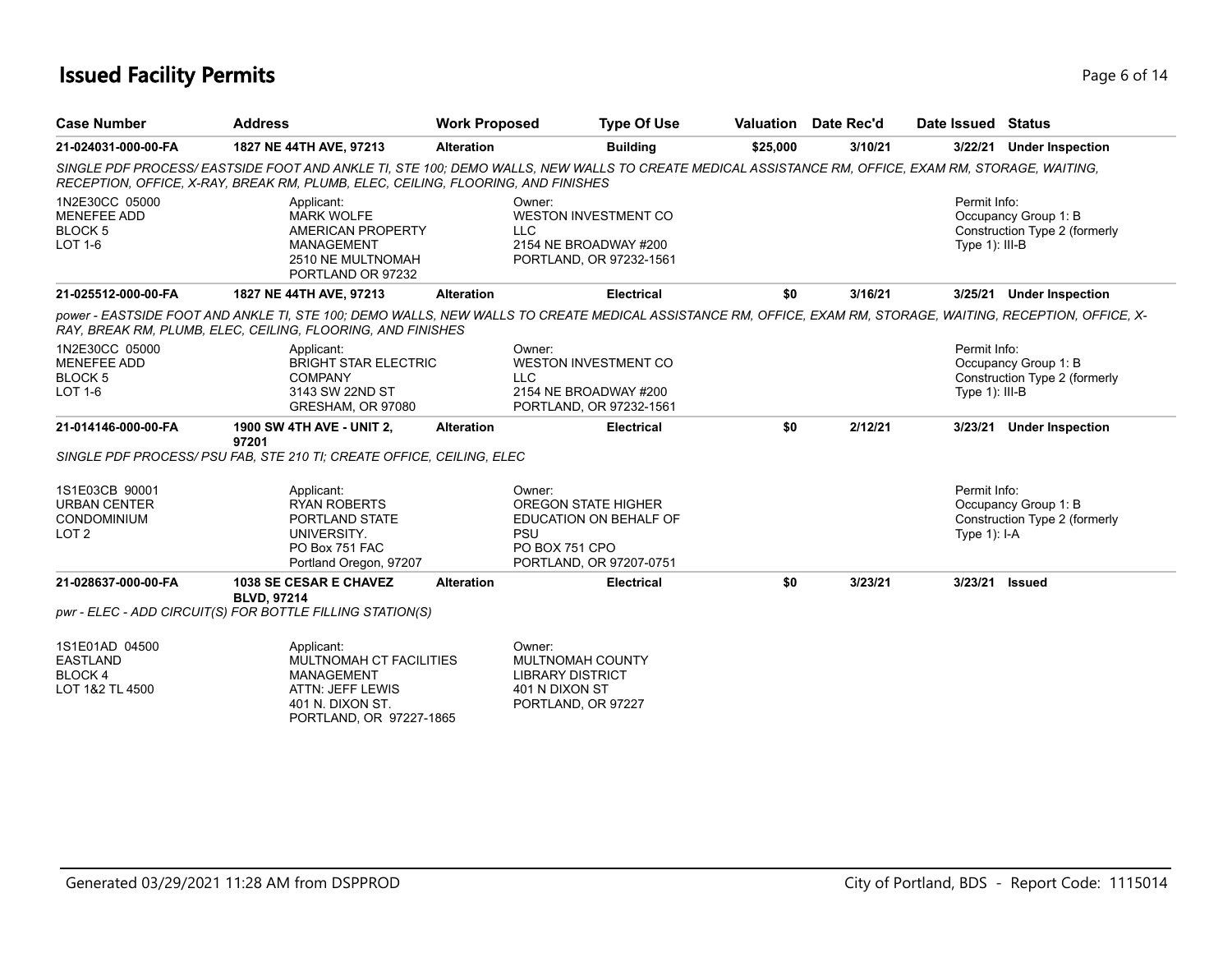### **Issued Facility Permits** Page 6 of 14

| <b>Case Number</b>                                                              | <b>Address</b>                                                                                                                | <b>Work Proposed</b> | <b>Type Of Use</b>                                                                                                                                           |          | <b>Valuation</b> Date Rec'd | Date Issued Status                |                                                       |
|---------------------------------------------------------------------------------|-------------------------------------------------------------------------------------------------------------------------------|----------------------|--------------------------------------------------------------------------------------------------------------------------------------------------------------|----------|-----------------------------|-----------------------------------|-------------------------------------------------------|
| 21-024031-000-00-FA                                                             | 1827 NE 44TH AVE, 97213                                                                                                       | <b>Alteration</b>    | <b>Building</b>                                                                                                                                              | \$25,000 | 3/10/21                     |                                   | 3/22/21 Under Inspection                              |
|                                                                                 | RECEPTION, OFFICE, X-RAY, BREAK RM, PLUMB, ELEC, CEILING, FLOORING, AND FINISHES                                              |                      | SINGLE PDF PROCESS/EASTSIDE FOOT AND ANKLE TI, STE 100; DEMO WALLS, NEW WALLS TO CREATE MEDICAL ASSISTANCE RM, OFFICE, EXAM RM, STORAGE, WAITING,            |          |                             |                                   |                                                       |
| 1N2E30CC 05000<br><b>MENEFEE ADD</b><br><b>BLOCK 5</b><br><b>LOT 1-6</b>        | Applicant:<br><b>MARK WOLFE</b><br>AMERICAN PROPERTY<br><b>MANAGEMENT</b><br>2510 NE MULTNOMAH<br>PORTLAND OR 97232           |                      | Owner:<br><b>WESTON INVESTMENT CO</b><br><b>LLC</b><br>2154 NE BROADWAY #200<br>PORTLAND, OR 97232-1561                                                      |          |                             | Permit Info:<br>Type $1$ ): III-B | Occupancy Group 1: B<br>Construction Type 2 (formerly |
| 21-025512-000-00-FA                                                             | 1827 NE 44TH AVE, 97213                                                                                                       | <b>Alteration</b>    | <b>Electrical</b>                                                                                                                                            | \$0      | 3/16/21                     |                                   | 3/25/21 Under Inspection                              |
|                                                                                 | RAY, BREAK RM, PLUMB, ELEC, CEILING, FLOORING, AND FINISHES                                                                   |                      | power - EASTSIDE FOOT AND ANKLE TI, STE 100; DEMO WALLS, NEW WALLS TO CREATE MEDICAL ASSISTANCE RM, OFFICE, EXAM RM, STORAGE, WAITING, RECEPTION, OFFICE, X- |          |                             |                                   |                                                       |
| 1N2E30CC 05000<br><b>MENEFEE ADD</b><br>BLOCK <sub>5</sub><br><b>LOT 1-6</b>    | Applicant:<br><b>BRIGHT STAR ELECTRIC</b><br><b>COMPANY</b><br>3143 SW 22ND ST<br>GRESHAM, OR 97080                           |                      | Owner:<br><b>WESTON INVESTMENT CO</b><br><b>LLC</b><br>2154 NE BROADWAY #200<br>PORTLAND, OR 97232-1561                                                      |          |                             | Permit Info:<br>Type $1$ ): III-B | Occupancy Group 1: B<br>Construction Type 2 (formerly |
| 21-014146-000-00-FA                                                             | <b>1900 SW 4TH AVE - UNIT 2,</b><br>97201                                                                                     | <b>Alteration</b>    | <b>Electrical</b>                                                                                                                                            | \$0      | 2/12/21                     | 3/23/21                           | <b>Under Inspection</b>                               |
|                                                                                 | SINGLE PDF PROCESS/ PSU FAB, STE 210 TI; CREATE OFFICE, CEILING, ELEC                                                         |                      |                                                                                                                                                              |          |                             |                                   |                                                       |
| 1S1E03CB 90001<br><b>URBAN CENTER</b><br><b>CONDOMINIUM</b><br>LOT <sub>2</sub> | Applicant:<br><b>RYAN ROBERTS</b><br>PORTLAND STATE<br>UNIVERSITY.<br>PO Box 751 FAC<br>Portland Oregon, 97207                |                      | Owner:<br><b>OREGON STATE HIGHER</b><br>EDUCATION ON BEHALF OF<br><b>PSU</b><br>PO BOX 751 CPO<br>PORTLAND, OR 97207-0751                                    |          |                             | Permit Info:<br>Type $1$ : I-A    | Occupancy Group 1: B<br>Construction Type 2 (formerly |
| 21-028637-000-00-FA                                                             | <b>1038 SE CESAR E CHAVEZ</b><br><b>BLVD, 97214</b>                                                                           | <b>Alteration</b>    | <b>Electrical</b>                                                                                                                                            | \$0      | 3/23/21                     | 3/23/21 Issued                    |                                                       |
|                                                                                 | pwr - ELEC - ADD CIRCUIT(S) FOR BOTTLE FILLING STATION(S)                                                                     |                      |                                                                                                                                                              |          |                             |                                   |                                                       |
| 1S1E01AD 04500<br><b>EASTLAND</b><br>BLOCK 4<br>LOT 1&2 TL 4500                 | Applicant:<br>MULTNOMAH CT FACILITIES<br><b>MANAGEMENT</b><br>ATTN: JEFF LEWIS<br>401 N. DIXON ST.<br>PORTLAND, OR 97227-1865 |                      | Owner:<br>MULTNOMAH COUNTY<br><b>LIBRARY DISTRICT</b><br>401 N DIXON ST<br>PORTLAND, OR 97227                                                                |          |                             |                                   |                                                       |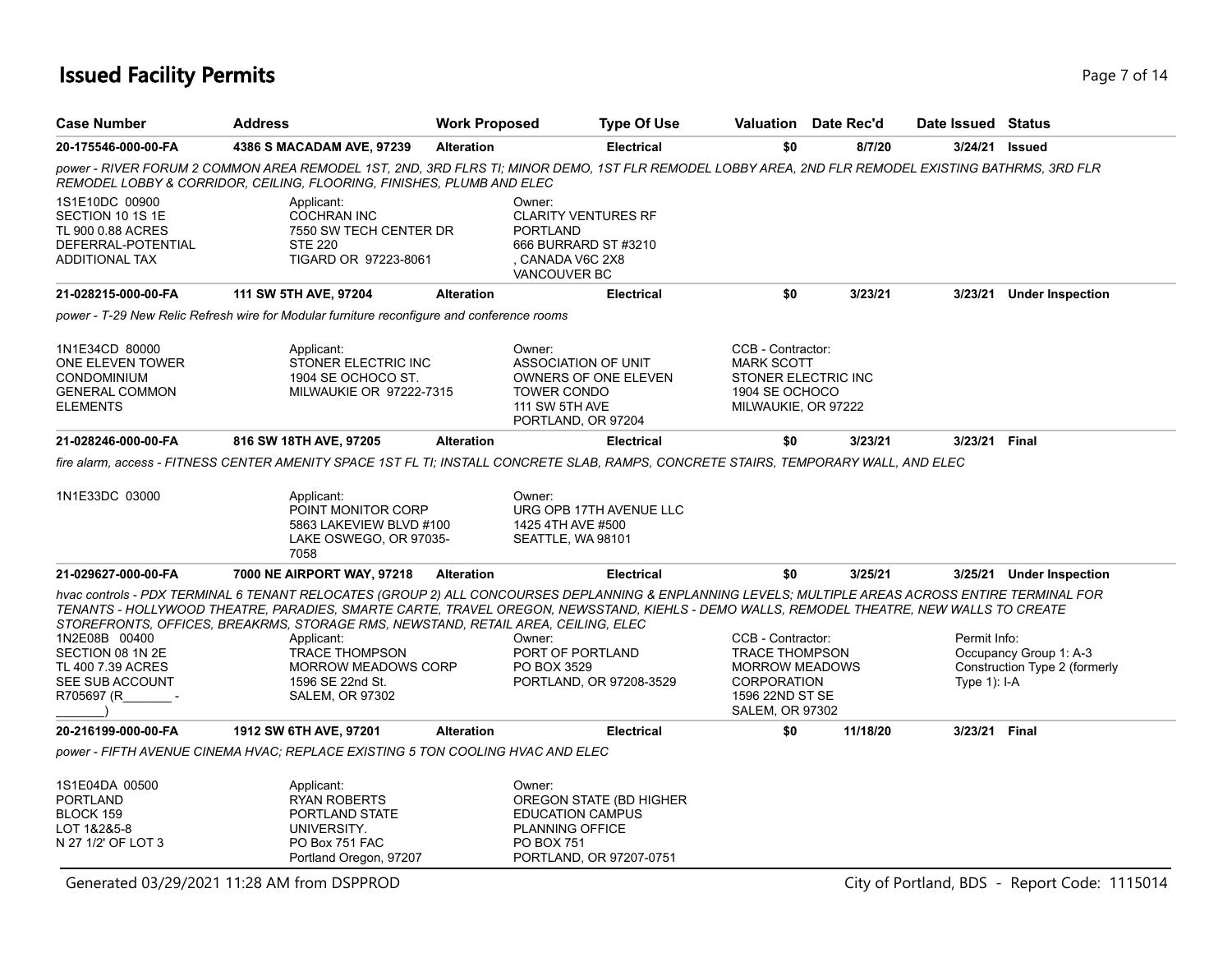## **Issued Facility Permits** Page 7 of 14

| <b>Case Number</b>                                                                                     | <b>Address</b>                                                                                                                                                                                                                                                                                                                                                                      | <b>Work Proposed</b> |                                                                                                                                   | <b>Type Of Use</b>      | Valuation                                                                                                                              | Date Rec'd |          | Date Issued Status             |                                                         |
|--------------------------------------------------------------------------------------------------------|-------------------------------------------------------------------------------------------------------------------------------------------------------------------------------------------------------------------------------------------------------------------------------------------------------------------------------------------------------------------------------------|----------------------|-----------------------------------------------------------------------------------------------------------------------------------|-------------------------|----------------------------------------------------------------------------------------------------------------------------------------|------------|----------|--------------------------------|---------------------------------------------------------|
| 20-175546-000-00-FA                                                                                    | 4386 S MACADAM AVE, 97239                                                                                                                                                                                                                                                                                                                                                           | <b>Alteration</b>    |                                                                                                                                   | <b>Electrical</b>       | \$0                                                                                                                                    |            | 8/7/20   | 3/24/21                        | <b>Issued</b>                                           |
|                                                                                                        | power - RIVER FORUM 2 COMMON AREA REMODEL 1ST, 2ND, 3RD FLRS TI; MINOR DEMO, 1ST FLR REMODEL LOBBY AREA, 2ND FLR REMODEL EXISTING BATHRMS, 3RD FLR<br>REMODEL LOBBY & CORRIDOR, CEILING, FLOORING, FINISHES, PLUMB AND ELEC                                                                                                                                                         |                      |                                                                                                                                   |                         |                                                                                                                                        |            |          |                                |                                                         |
| 1S1E10DC 00900<br>SECTION 10 1S 1E<br>TL 900 0.88 ACRES<br>DEFERRAL-POTENTIAL<br><b>ADDITIONAL TAX</b> | Applicant:<br><b>COCHRAN INC</b><br>7550 SW TECH CENTER DR<br><b>STE 220</b><br>TIGARD OR 97223-8061                                                                                                                                                                                                                                                                                |                      | Owner:<br><b>CLARITY VENTURES RF</b><br><b>PORTLAND</b><br>666 BURRARD ST #3210<br>CANADA V6C 2X8<br><b>VANCOUVER BC</b>          |                         |                                                                                                                                        |            |          |                                |                                                         |
| 21-028215-000-00-FA                                                                                    | 111 SW 5TH AVE, 97204                                                                                                                                                                                                                                                                                                                                                               | <b>Alteration</b>    |                                                                                                                                   | <b>Electrical</b>       | \$0                                                                                                                                    |            | 3/23/21  | 3/23/21                        | <b>Under Inspection</b>                                 |
|                                                                                                        | power - T-29 New Relic Refresh wire for Modular furniture reconfiqure and conference rooms                                                                                                                                                                                                                                                                                          |                      |                                                                                                                                   |                         |                                                                                                                                        |            |          |                                |                                                         |
| 1N1E34CD 80000<br>ONE ELEVEN TOWER<br><b>CONDOMINIUM</b><br><b>GENERAL COMMON</b><br><b>ELEMENTS</b>   | Applicant:<br>STONER ELECTRIC INC<br>1904 SE OCHOCO ST.<br>MILWAUKIE OR 97222-7315                                                                                                                                                                                                                                                                                                  |                      | Owner:<br><b>ASSOCIATION OF UNIT</b><br>OWNERS OF ONE ELEVEN<br><b>TOWER CONDO</b><br><b>111 SW 5TH AVE</b><br>PORTLAND, OR 97204 |                         | CCB - Contractor:<br><b>MARK SCOTT</b><br>STONER ELECTRIC INC<br>1904 SE OCHOCO<br>MILWAUKIE, OR 97222                                 |            |          |                                |                                                         |
| 21-028246-000-00-FA                                                                                    | 816 SW 18TH AVE, 97205                                                                                                                                                                                                                                                                                                                                                              | <b>Alteration</b>    |                                                                                                                                   | <b>Electrical</b>       | \$0                                                                                                                                    |            | 3/23/21  | 3/23/21                        | <b>Final</b>                                            |
| 1N1E33DC 03000                                                                                         | fire alarm. access - FITNESS CENTER AMENITY SPACE 1ST FL TI: INSTALL CONCRETE SLAB. RAMPS. CONCRETE STAIRS. TEMPORARY WALL. AND ELEC<br>Applicant:<br>POINT MONITOR CORP<br>5863 LAKEVIEW BLVD #100<br>LAKE OSWEGO, OR 97035-<br>7058                                                                                                                                               |                      | Owner:<br>1425 4TH AVE #500<br>SEATTLE, WA 98101                                                                                  | URG OPB 17TH AVENUE LLC |                                                                                                                                        |            |          |                                |                                                         |
| 21-029627-000-00-FA                                                                                    | 7000 NE AIRPORT WAY, 97218                                                                                                                                                                                                                                                                                                                                                          | <b>Alteration</b>    |                                                                                                                                   | <b>Electrical</b>       | \$0                                                                                                                                    |            | 3/25/21  |                                | 3/25/21 Under Inspection                                |
|                                                                                                        | hvac controls - PDX TERMINAL 6 TENANT RELOCATES (GROUP 2) ALL CONCOURSES DEPLANNING & ENPLANNING LEVELS; MULTIPLE AREAS ACROSS ENTIRE TERMINAL FOR<br>TENANTS - HOLLYWOOD THEATRE, PARADIES, SMARTE CARTE, TRAVEL OREGON, NEWSSTAND, KIEHLS - DEMO WALLS, REMODEL THEATRE, NEW WALLS TO CREATE<br>STOREFRONTS, OFFICES, BREAKRMS, STORAGE RMS, NEWSTAND, RETAIL AREA, CEILING, ELEC |                      |                                                                                                                                   |                         |                                                                                                                                        |            |          |                                |                                                         |
| 1N2E08B 00400<br>SECTION 08 1N 2E<br>TL 400 7.39 ACRES<br><b>SEE SUB ACCOUNT</b><br>R705697 (R         | Applicant:<br><b>TRACE THOMPSON</b><br><b>MORROW MEADOWS CORP</b><br>1596 SE 22nd St.<br><b>SALEM, OR 97302</b>                                                                                                                                                                                                                                                                     |                      | Owner:<br>PORT OF PORTLAND<br>PO BOX 3529<br>PORTLAND, OR 97208-3529                                                              |                         | CCB - Contractor:<br><b>TRACE THOMPSON</b><br><b>MORROW MEADOWS</b><br><b>CORPORATION</b><br>1596 22ND ST SE<br><b>SALEM, OR 97302</b> |            |          | Permit Info:<br>Type $1$ : I-A | Occupancy Group 1: A-3<br>Construction Type 2 (formerly |
| 20-216199-000-00-FA                                                                                    | 1912 SW 6TH AVE, 97201                                                                                                                                                                                                                                                                                                                                                              | <b>Alteration</b>    |                                                                                                                                   | <b>Electrical</b>       | \$0                                                                                                                                    |            | 11/18/20 | 3/23/21 Final                  |                                                         |
|                                                                                                        | power - FIFTH AVENUE CINEMA HVAC: REPLACE EXISTING 5 TON COOLING HVAC AND ELEC                                                                                                                                                                                                                                                                                                      |                      |                                                                                                                                   |                         |                                                                                                                                        |            |          |                                |                                                         |
| 1S1E04DA 00500<br>PORTLAND<br>BLOCK 159<br>LOT 1&2&5-8<br>N 27 1/2' OF LOT 3                           | Applicant:<br><b>RYAN ROBERTS</b><br>PORTLAND STATE<br>UNIVERSITY.<br>PO Box 751 FAC<br>Portland Oregon, 97207                                                                                                                                                                                                                                                                      |                      | Owner:<br><b>EDUCATION CAMPUS</b><br>PLANNING OFFICE<br>PO BOX 751<br>PORTLAND, OR 97207-0751                                     | OREGON STATE (BD HIGHER |                                                                                                                                        |            |          |                                |                                                         |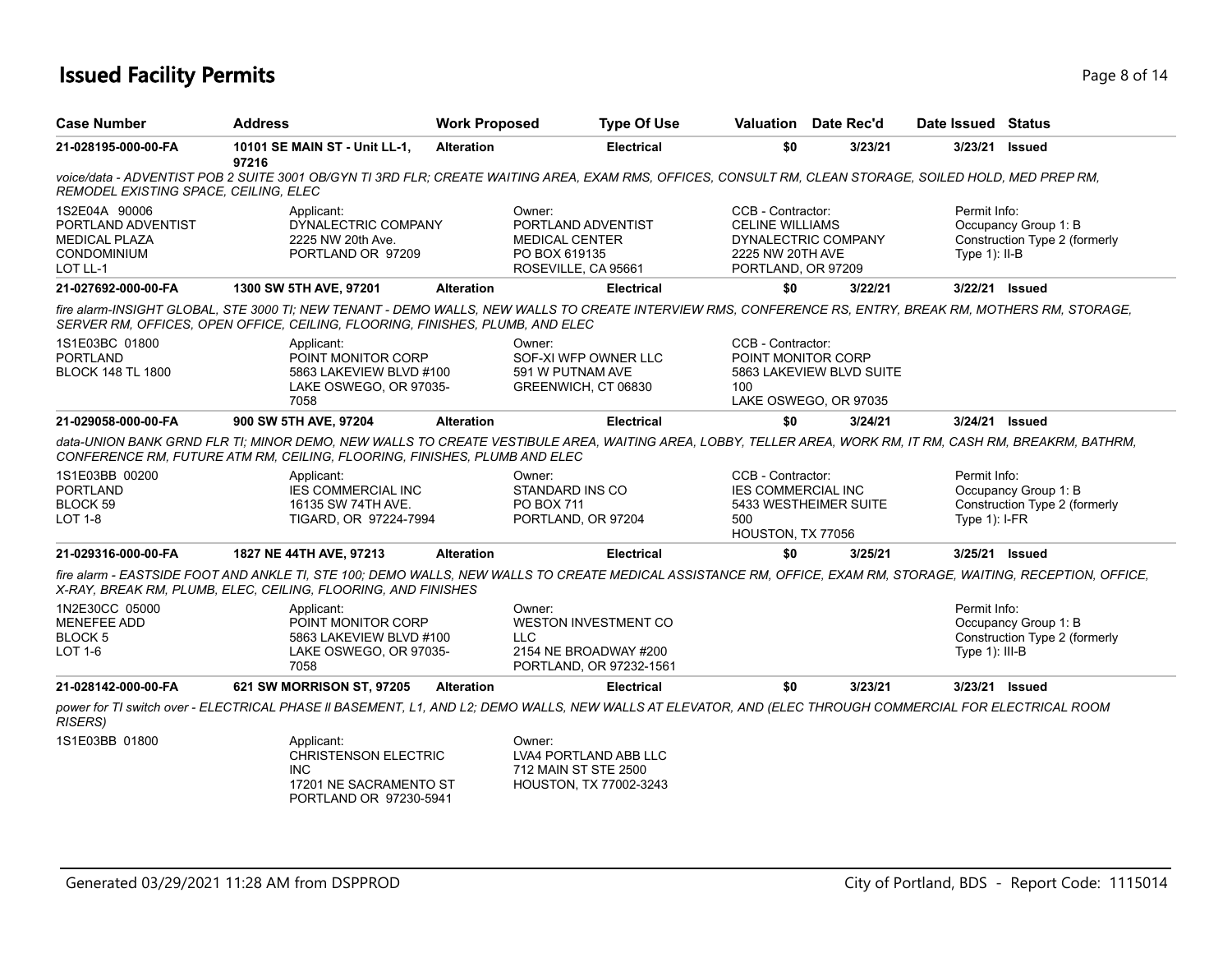### **Issued Facility Permits** Page 8 of 14

| <b>Case Number</b>                                                                            | <b>Address</b>                                                                                              | <b>Work Proposed</b> | <b>Type Of Use</b>                                                                                                                                             |                                                                                       | Valuation Date Rec'd                              | Date Issued Status                |                                                       |
|-----------------------------------------------------------------------------------------------|-------------------------------------------------------------------------------------------------------------|----------------------|----------------------------------------------------------------------------------------------------------------------------------------------------------------|---------------------------------------------------------------------------------------|---------------------------------------------------|-----------------------------------|-------------------------------------------------------|
| 21-028195-000-00-FA                                                                           | 10101 SE MAIN ST - Unit LL-1,<br>97216                                                                      | <b>Alteration</b>    | <b>Electrical</b>                                                                                                                                              | \$0                                                                                   | 3/23/21                                           | 3/23/21 Issued                    |                                                       |
| REMODEL EXISTING SPACE, CEILING, ELEC                                                         |                                                                                                             |                      | voice/data - ADVENTIST POB 2 SUITE 3001 OB/GYN TI 3RD FLR; CREATE WAITING AREA, EXAM RMS, OFFICES, CONSULT RM, CLEAN STORAGE, SOILED HOLD, MED PREP RM,        |                                                                                       |                                                   |                                   |                                                       |
| 1S2E04A 90006<br>PORTLAND ADVENTIST<br><b>MEDICAL PLAZA</b><br><b>CONDOMINIUM</b><br>LOT LL-1 | Applicant:<br>DYNALECTRIC COMPANY<br>2225 NW 20th Ave.<br>PORTLAND OR 97209                                 |                      | Owner:<br>PORTLAND ADVENTIST<br><b>MEDICAL CENTER</b><br>PO BOX 619135<br>ROSEVILLE, CA 95661                                                                  | CCB - Contractor:<br><b>CELINE WILLIAMS</b><br>2225 NW 20TH AVE<br>PORTLAND, OR 97209 | DYNALECTRIC COMPANY                               | Permit Info:<br>Type $1$ : II-B   | Occupancy Group 1: B<br>Construction Type 2 (formerly |
| 21-027692-000-00-FA                                                                           | 1300 SW 5TH AVE, 97201                                                                                      | <b>Alteration</b>    | <b>Electrical</b>                                                                                                                                              | \$0                                                                                   | 3/22/21                                           | 3/22/21 Issued                    |                                                       |
|                                                                                               | SERVER RM. OFFICES. OPEN OFFICE. CEILING. FLOORING. FINISHES. PLUMB. AND ELEC                               |                      | fire alarm-INSIGHT GLOBAL, STE 3000 TI; NEW TENANT - DEMO WALLS, NEW WALLS TO CREATE INTERVIEW RMS, CONFERENCE RS, ENTRY, BREAK RM, MOTHERS RM, STORAGE,       |                                                                                       |                                                   |                                   |                                                       |
| 1S1E03BC 01800<br><b>PORTLAND</b><br><b>BLOCK 148 TL 1800</b>                                 | Applicant:<br>POINT MONITOR CORP<br>5863 LAKEVIEW BLVD #100<br>LAKE OSWEGO, OR 97035-<br>7058               |                      | Owner:<br>SOF-XI WFP OWNER LLC<br>591 W PUTNAM AVE<br>GREENWICH, CT 06830                                                                                      | CCB - Contractor:<br>POINT MONITOR CORP<br>100                                        | 5863 LAKEVIEW BLVD SUITE<br>LAKE OSWEGO, OR 97035 |                                   |                                                       |
| 21-029058-000-00-FA                                                                           | 900 SW 5TH AVE, 97204                                                                                       | <b>Alteration</b>    | <b>Electrical</b>                                                                                                                                              | \$0                                                                                   | 3/24/21                                           | 3/24/21 Issued                    |                                                       |
|                                                                                               | CONFERENCE RM, FUTURE ATM RM, CEILING, FLOORING, FINISHES, PLUMB AND ELEC                                   |                      | data-UNION BANK GRND FLR TI; MINOR DEMO, NEW WALLS TO CREATE VESTIBULE AREA, WAITING AREA, LOBBY, TELLER AREA, WORK RM, IT RM, CASH RM, BREAKRM, BATHRM,       |                                                                                       |                                                   |                                   |                                                       |
| 1S1E03BB 00200<br><b>PORTLAND</b><br>BLOCK 59<br>LOT 1-8                                      | Applicant:<br><b>IES COMMERCIAL INC</b><br>16135 SW 74TH AVE.<br>TIGARD, OR 97224-7994                      |                      | Owner:<br>STANDARD INS CO<br>PO BOX 711<br>PORTLAND, OR 97204                                                                                                  | CCB - Contractor:<br><b>IES COMMERCIAL INC</b><br>500<br>HOUSTON, TX 77056            | 5433 WESTHEIMER SUITE                             | Permit Info:<br>Type $1$ : I-FR   | Occupancy Group 1: B<br>Construction Type 2 (formerly |
| 21-029316-000-00-FA                                                                           | 1827 NE 44TH AVE, 97213                                                                                     | <b>Alteration</b>    | <b>Electrical</b>                                                                                                                                              | \$0                                                                                   | 3/25/21                                           | 3/25/21 Issued                    |                                                       |
|                                                                                               | X-RAY, BREAK RM, PLUMB, ELEC, CEILING, FLOORING, AND FINISHES                                               |                      | fire alarm - EASTSIDE FOOT AND ANKLE TI, STE 100; DEMO WALLS, NEW WALLS TO CREATE MEDICAL ASSISTANCE RM, OFFICE, EXAM RM, STORAGE, WAITING, RECEPTION, OFFICE, |                                                                                       |                                                   |                                   |                                                       |
| 1N2E30CC 05000<br><b>MENEFEE ADD</b><br>BLOCK 5<br>LOT 1-6                                    | Applicant:<br>POINT MONITOR CORP<br>5863 LAKEVIEW BLVD #100<br>LAKE OSWEGO, OR 97035-<br>7058               |                      | Owner:<br><b>WESTON INVESTMENT CO</b><br><b>LLC</b><br>2154 NE BROADWAY #200<br>PORTLAND, OR 97232-1561                                                        |                                                                                       |                                                   | Permit Info:<br>Type $1$ ): III-B | Occupancy Group 1: B<br>Construction Type 2 (formerly |
| 21-028142-000-00-FA                                                                           | 621 SW MORRISON ST, 97205                                                                                   | <b>Alteration</b>    | <b>Electrical</b>                                                                                                                                              | \$0                                                                                   | 3/23/21                                           | 3/23/21 Issued                    |                                                       |
| <b>RISERS)</b>                                                                                |                                                                                                             |                      | power for TI switch over - ELECTRICAL PHASE II BASEMENT, L1, AND L2; DEMO WALLS, NEW WALLS AT ELEVATOR, AND (ELEC THROUGH COMMERCIAL FOR ELECTRICAL ROOM       |                                                                                       |                                                   |                                   |                                                       |
| 1S1E03BB 01800                                                                                | Applicant:<br><b>CHRISTENSON ELECTRIC</b><br><b>INC</b><br>17201 NE SACRAMENTO ST<br>PORTLAND OR 97230-5941 |                      | Owner:<br>LVA4 PORTLAND ABB LLC<br>712 MAIN ST STE 2500<br>HOUSTON, TX 77002-3243                                                                              |                                                                                       |                                                   |                                   |                                                       |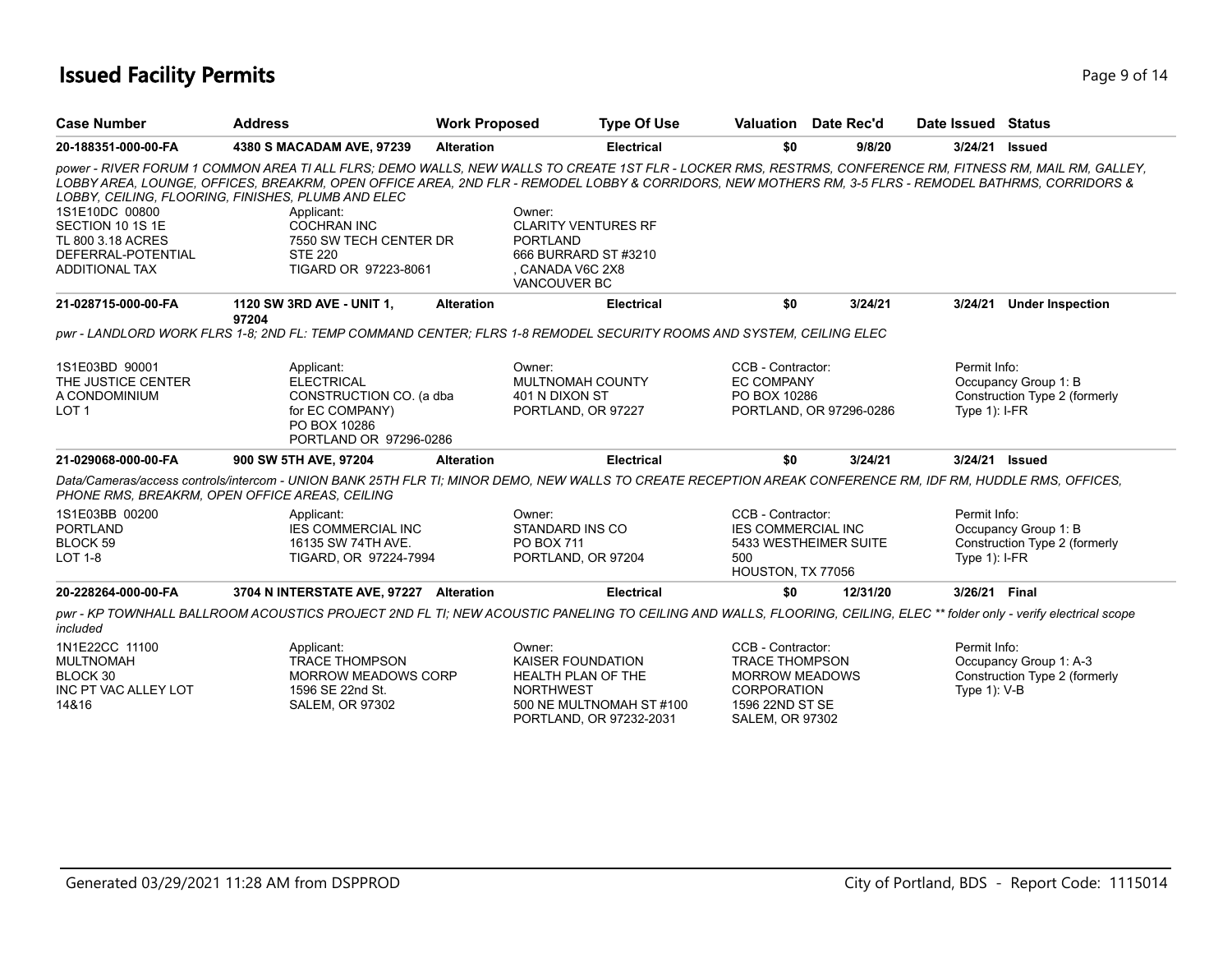### **Issued Facility Permits** Page 14 and 2008 14

| <b>Case Number</b>                                                                                     | <b>Address</b>                                                                                                                                                                                                                                                                                                                                                                                                                                                                  | <b>Work Proposed</b>                                                                | <b>Type Of Use</b>                                  | Valuation Date Rec'd                                                                                                                   |                         | Date Issued Status              |                                                         |
|--------------------------------------------------------------------------------------------------------|---------------------------------------------------------------------------------------------------------------------------------------------------------------------------------------------------------------------------------------------------------------------------------------------------------------------------------------------------------------------------------------------------------------------------------------------------------------------------------|-------------------------------------------------------------------------------------|-----------------------------------------------------|----------------------------------------------------------------------------------------------------------------------------------------|-------------------------|---------------------------------|---------------------------------------------------------|
| 20-188351-000-00-FA                                                                                    | 4380 S MACADAM AVE, 97239                                                                                                                                                                                                                                                                                                                                                                                                                                                       | <b>Alteration</b>                                                                   | <b>Electrical</b>                                   | \$0                                                                                                                                    | 9/8/20                  | 3/24/21 Issued                  |                                                         |
| 1S1E10DC 00800<br>SECTION 10 1S 1E<br>TL 800 3.18 ACRES<br>DEFERRAL-POTENTIAL<br><b>ADDITIONAL TAX</b> | power - RIVER FORUM 1 COMMON AREA TI ALL FLRS; DEMO WALLS, NEW WALLS TO CREATE 1ST FLR - LOCKER RMS, RESTRMS, CONFERENCE RM, FITNESS RM, MAIL RM, GALLEY,<br>LOBBY AREA, LOUNGE, OFFICES, BREAKRM, OPEN OFFICE AREA, 2ND FLR - REMODEL LOBBY & CORRIDORS, NEW MOTHERS RM, 3-5 FLRS - REMODEL BATHRMS, CORRIDORS &<br>LOBBY, CEILING, FLOORING, FINISHES, PLUMB AND ELEC<br>Applicant:<br><b>COCHRAN INC</b><br>7550 SW TECH CENTER DR<br><b>STE 220</b><br>TIGARD OR 97223-8061 | Owner:<br><b>PORTLAND</b><br>CANADA V6C 2X8<br>VANCOUVER BC                         | <b>CLARITY VENTURES RF</b><br>666 BURRARD ST #3210  |                                                                                                                                        |                         |                                 |                                                         |
| 21-028715-000-00-FA                                                                                    | 1120 SW 3RD AVE - UNIT 1,                                                                                                                                                                                                                                                                                                                                                                                                                                                       | <b>Alteration</b>                                                                   | <b>Electrical</b>                                   | \$0                                                                                                                                    | 3/24/21                 | 3/24/21                         | <b>Under Inspection</b>                                 |
|                                                                                                        | 97204<br>pwr - LANDLORD WORK FLRS 1-8; 2ND FL: TEMP COMMAND CENTER; FLRS 1-8 REMODEL SECURITY ROOMS AND SYSTEM, CEILING ELEC                                                                                                                                                                                                                                                                                                                                                    |                                                                                     |                                                     |                                                                                                                                        |                         |                                 |                                                         |
| 1S1E03BD 90001<br>THE JUSTICE CENTER<br>A CONDOMINIUM<br>LOT <sub>1</sub>                              | Applicant:<br><b>ELECTRICAL</b><br>CONSTRUCTION CO. (a dba<br>for EC COMPANY)<br>PO BOX 10286<br>PORTLAND OR 97296-0286                                                                                                                                                                                                                                                                                                                                                         | Owner:<br>MULTNOMAH COUNTY<br>401 N DIXON ST<br>PORTLAND, OR 97227                  |                                                     | CCB - Contractor:<br><b>EC COMPANY</b><br>PO BOX 10286                                                                                 | PORTLAND, OR 97296-0286 | Permit Info:<br>Type $1$ : I-FR | Occupancy Group 1: B<br>Construction Type 2 (formerly   |
| 21-029068-000-00-FA                                                                                    | 900 SW 5TH AVE, 97204                                                                                                                                                                                                                                                                                                                                                                                                                                                           | <b>Alteration</b>                                                                   | <b>Electrical</b>                                   | \$0                                                                                                                                    | 3/24/21                 | 3/24/21 Issued                  |                                                         |
| PHONE RMS, BREAKRM, OPEN OFFICE AREAS, CEILING                                                         | Data/Cameras/access controls/intercom - UNION BANK 25TH FLR TI; MINOR DEMO, NEW WALLS TO CREATE RECEPTION AREAK CONFERENCE RM, IDF RM, HUDDLE RMS, OFFICES,                                                                                                                                                                                                                                                                                                                     |                                                                                     |                                                     |                                                                                                                                        |                         |                                 |                                                         |
| 1S1E03BB 00200<br><b>PORTLAND</b><br>BLOCK 59<br><b>LOT 1-8</b>                                        | Applicant:<br><b>IES COMMERCIAL INC</b><br>16135 SW 74TH AVE.<br>TIGARD, OR 97224-7994                                                                                                                                                                                                                                                                                                                                                                                          | Owner:<br>STANDARD INS CO<br>PO BOX 711<br>PORTLAND, OR 97204                       |                                                     | CCB - Contractor:<br><b>IES COMMERCIAL INC</b><br>5433 WESTHEIMER SUITE<br>500<br>HOUSTON, TX 77056                                    |                         | Permit Info:<br>Type $1$ : I-FR | Occupancy Group 1: B<br>Construction Type 2 (formerly   |
| 20-228264-000-00-FA                                                                                    | 3704 N INTERSTATE AVE, 97227 Alteration                                                                                                                                                                                                                                                                                                                                                                                                                                         |                                                                                     | <b>Electrical</b>                                   | \$0                                                                                                                                    | 12/31/20                | 3/26/21 Final                   |                                                         |
| included                                                                                               | pwr - KP TOWNHALL BALLROOM ACOUSTICS PROJECT 2ND FL TI; NEW ACOUSTIC PANELING TO CEILING AND WALLS, FLOORING, CEILING, ELEC ** folder only - verify electrical scope                                                                                                                                                                                                                                                                                                            |                                                                                     |                                                     |                                                                                                                                        |                         |                                 |                                                         |
| 1N1E22CC 11100<br><b>MULTNOMAH</b><br>BLOCK 30<br>INC PT VAC ALLEY LOT<br>14&16                        | Applicant:<br><b>TRACE THOMPSON</b><br>MORROW MEADOWS CORP<br>1596 SE 22nd St.<br>SALEM, OR 97302                                                                                                                                                                                                                                                                                                                                                                               | Owner:<br><b>KAISER FOUNDATION</b><br><b>HEALTH PLAN OF THE</b><br><b>NORTHWEST</b> | 500 NE MULTNOMAH ST #100<br>PORTLAND, OR 97232-2031 | CCB - Contractor:<br><b>TRACE THOMPSON</b><br><b>MORROW MEADOWS</b><br><b>CORPORATION</b><br>1596 22ND ST SE<br><b>SALEM, OR 97302</b> |                         | Permit Info:<br>Type $1$ ): V-B | Occupancy Group 1: A-3<br>Construction Type 2 (formerly |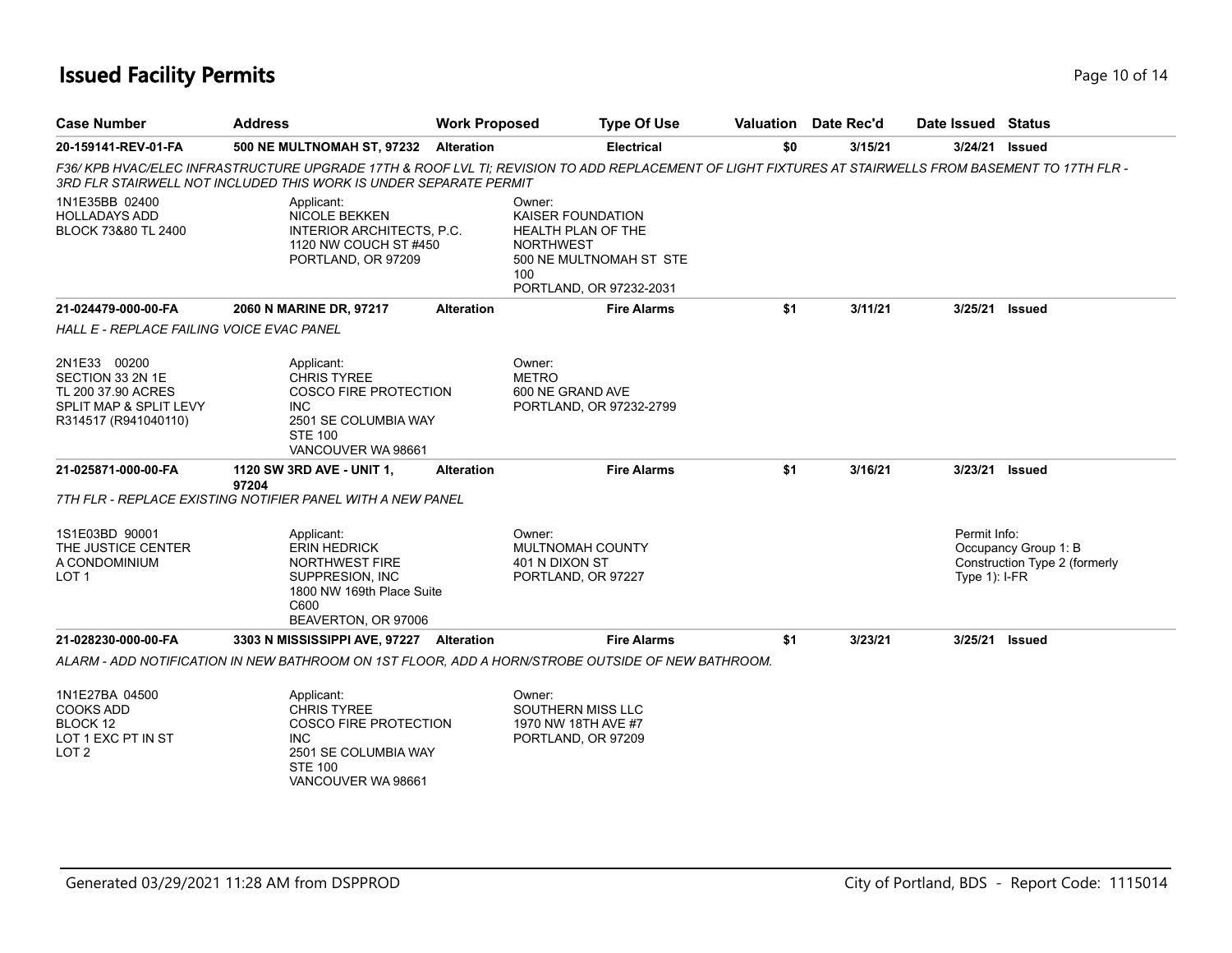### **Issued Facility Permits** Page 10 of 14

| <b>Case Number</b>                                                                                       | <b>Address</b>                                                                                                                                 | <b>Work Proposed</b> | <b>Type Of Use</b>                                                                                                                                   |     | Valuation Date Rec'd | Date Issued Status               |                                                       |
|----------------------------------------------------------------------------------------------------------|------------------------------------------------------------------------------------------------------------------------------------------------|----------------------|------------------------------------------------------------------------------------------------------------------------------------------------------|-----|----------------------|----------------------------------|-------------------------------------------------------|
| 20-159141-REV-01-FA                                                                                      | <b>500 NE MULTNOMAH ST, 97232</b>                                                                                                              | <b>Alteration</b>    | <b>Electrical</b>                                                                                                                                    | \$0 | 3/15/21              | 3/24/21                          | Issued                                                |
|                                                                                                          | 3RD FLR STAIRWELL NOT INCLUDED THIS WORK IS UNDER SEPARATE PERMIT                                                                              |                      | F36/KPB HVAC/ELEC INFRASTRUCTURE UPGRADE 17TH & ROOF LVL TI; REVISION TO ADD REPLACEMENT OF LIGHT FIXTURES AT STAIRWELLS FROM BASEMENT TO 17TH FLR - |     |                      |                                  |                                                       |
| 1N1E35BB 02400<br><b>HOLLADAYS ADD</b><br>BLOCK 73&80 TL 2400                                            | Applicant:<br><b>NICOLE BEKKEN</b><br>INTERIOR ARCHITECTS, P.C.<br>1120 NW COUCH ST #450<br>PORTLAND, OR 97209                                 |                      | Owner:<br>KAISER FOUNDATION<br><b>HEALTH PLAN OF THE</b><br><b>NORTHWEST</b><br>500 NE MULTNOMAH ST STE<br>100<br>PORTLAND, OR 97232-2031            |     |                      |                                  |                                                       |
| 21-024479-000-00-FA                                                                                      | 2060 N MARINE DR, 97217                                                                                                                        | <b>Alteration</b>    | <b>Fire Alarms</b>                                                                                                                                   | \$1 | 3/11/21              | 3/25/21                          | <b>Issued</b>                                         |
| <b>HALL E - REPLACE FAILING VOICE EVAC PANEL</b>                                                         |                                                                                                                                                |                      |                                                                                                                                                      |     |                      |                                  |                                                       |
| 2N1E33 00200<br>SECTION 33 2N 1E<br>TL 200 37.90 ACRES<br>SPLIT MAP & SPLIT LEVY<br>R314517 (R941040110) | Applicant:<br><b>CHRIS TYREE</b><br><b>COSCO FIRE PROTECTION</b><br><b>INC</b><br>2501 SE COLUMBIA WAY<br><b>STE 100</b><br>VANCOUVER WA 98661 |                      | Owner:<br><b>METRO</b><br>600 NE GRAND AVE<br>PORTLAND, OR 97232-2799                                                                                |     |                      |                                  |                                                       |
| 21-025871-000-00-FA                                                                                      | 1120 SW 3RD AVE - UNIT 1,<br>97204                                                                                                             | <b>Alteration</b>    | <b>Fire Alarms</b>                                                                                                                                   | \$1 | 3/16/21              | 3/23/21                          | Issued                                                |
|                                                                                                          | 7TH FLR - REPLACE EXISTING NOTIFIER PANEL WITH A NEW PANEL                                                                                     |                      |                                                                                                                                                      |     |                      |                                  |                                                       |
| 1S1E03BD 90001<br>THE JUSTICE CENTER<br>A CONDOMINIUM<br>LOT <sub>1</sub>                                | Applicant:<br><b>ERIN HEDRICK</b><br><b>NORTHWEST FIRE</b><br>SUPPRESION, INC<br>1800 NW 169th Place Suite<br>C600<br>BEAVERTON, OR 97006      |                      | Owner:<br><b>MULTNOMAH COUNTY</b><br>401 N DIXON ST<br>PORTLAND, OR 97227                                                                            |     |                      | Permit Info:<br>Type $1$ ): I-FR | Occupancy Group 1: B<br>Construction Type 2 (formerly |
| 21-028230-000-00-FA                                                                                      | 3303 N MISSISSIPPI AVE, 97227 Alteration                                                                                                       |                      | <b>Fire Alarms</b>                                                                                                                                   | \$1 | 3/23/21              | 3/25/21                          | Issued                                                |
|                                                                                                          |                                                                                                                                                |                      | ALARM - ADD NOTIFICATION IN NEW BATHROOM ON 1ST FLOOR, ADD A HORN/STROBE OUTSIDE OF NEW BATHROOM.                                                    |     |                      |                                  |                                                       |
| 1N1E27BA 04500<br><b>COOKS ADD</b><br>BLOCK 12<br>LOT 1 EXC PT IN ST<br>LOT <sub>2</sub>                 | Applicant:<br><b>CHRIS TYREE</b><br>COSCO FIRE PROTECTION<br><b>INC</b><br>2501 SE COLUMBIA WAY<br><b>STE 100</b><br>VANCOUVER WA 98661        |                      | Owner:<br>SOUTHERN MISS LLC<br>1970 NW 18TH AVE #7<br>PORTLAND, OR 97209                                                                             |     |                      |                                  |                                                       |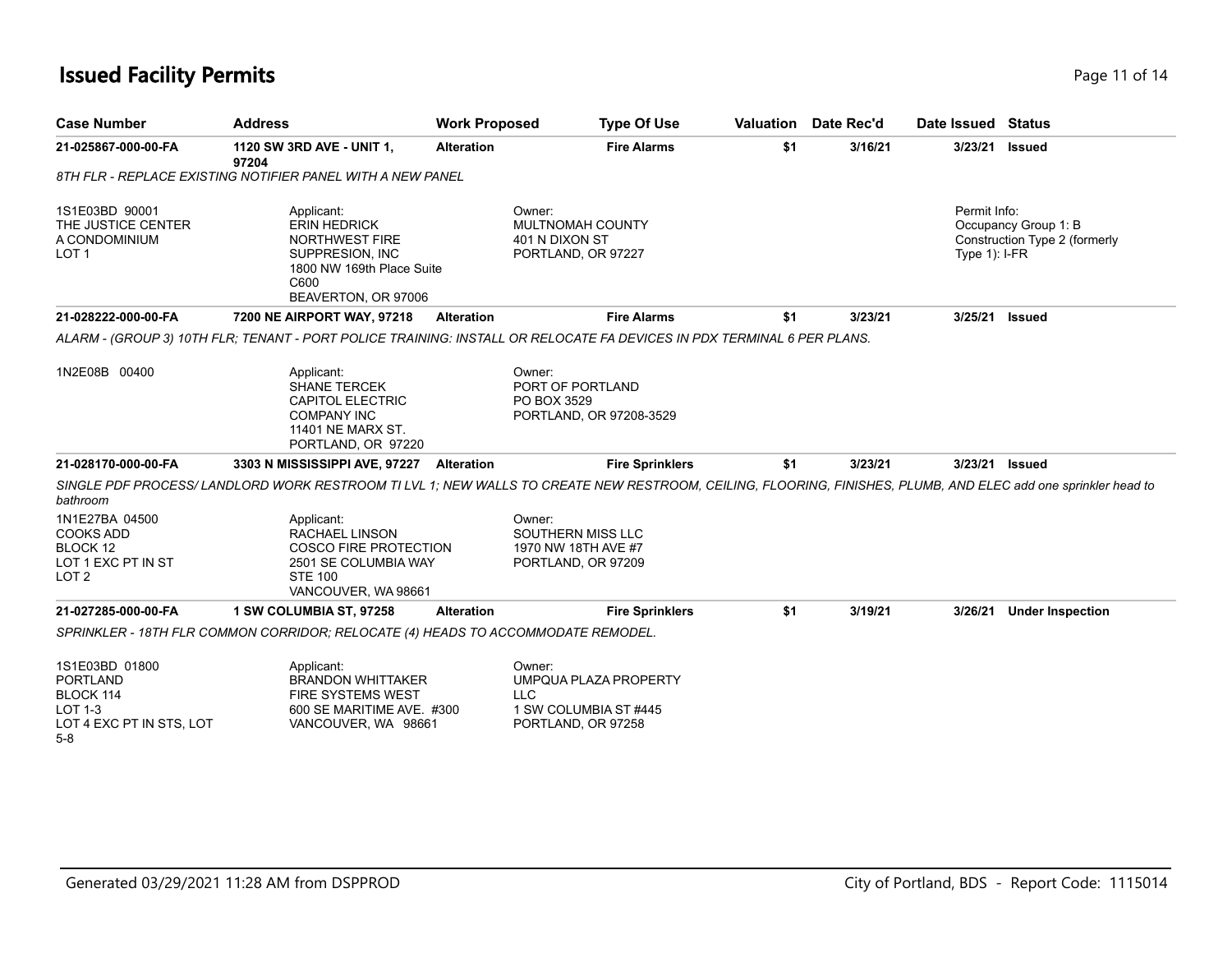# **Issued Facility Permits** Page 11 of 14

| <b>Case Number</b>                                                                           | <b>Address</b>                                                                                                                                               | <b>Work Proposed</b> | <b>Type Of Use</b>                                                                           |     | Valuation Date Rec'd | Date Issued Status              |                                                       |
|----------------------------------------------------------------------------------------------|--------------------------------------------------------------------------------------------------------------------------------------------------------------|----------------------|----------------------------------------------------------------------------------------------|-----|----------------------|---------------------------------|-------------------------------------------------------|
| 21-025867-000-00-FA                                                                          | 1120 SW 3RD AVE - UNIT 1,<br>97204                                                                                                                           | <b>Alteration</b>    | <b>Fire Alarms</b>                                                                           | \$1 | 3/16/21              | 3/23/21                         | <b>Issued</b>                                         |
|                                                                                              | 8TH FLR - REPLACE EXISTING NOTIFIER PANEL WITH A NEW PANEL                                                                                                   |                      |                                                                                              |     |                      |                                 |                                                       |
| 1S1E03BD 90001<br>THE JUSTICE CENTER<br>A CONDOMINIUM<br>LOT <sub>1</sub>                    | Applicant:<br><b>ERIN HEDRICK</b><br><b>NORTHWEST FIRE</b><br>SUPPRESION, INC<br>1800 NW 169th Place Suite<br>C600<br>BEAVERTON, OR 97006                    |                      | Owner:<br>MULTNOMAH COUNTY<br>401 N DIXON ST<br>PORTLAND, OR 97227                           |     |                      | Permit Info:<br>Type $1$ : I-FR | Occupancy Group 1: B<br>Construction Type 2 (formerly |
| 21-028222-000-00-FA                                                                          | 7200 NE AIRPORT WAY, 97218                                                                                                                                   | Alteration           | <b>Fire Alarms</b>                                                                           | \$1 | 3/23/21              | 3/25/21                         | Issued                                                |
|                                                                                              | ALARM - (GROUP 3) 10TH FLR: TENANT - PORT POLICE TRAINING: INSTALL OR RELOCATE FA DEVICES IN PDX TERMINAL 6 PER PLANS.                                       |                      |                                                                                              |     |                      |                                 |                                                       |
| 1N2E08B 00400                                                                                | Applicant:<br><b>SHANE TERCEK</b><br><b>CAPITOL ELECTRIC</b><br><b>COMPANY INC</b><br>11401 NE MARX ST.<br>PORTLAND, OR 97220                                |                      | Owner:<br>PORT OF PORTLAND<br>PO BOX 3529<br>PORTLAND, OR 97208-3529                         |     |                      |                                 |                                                       |
| 21-028170-000-00-FA                                                                          | 3303 N MISSISSIPPI AVE, 97227 Alteration                                                                                                                     |                      | <b>Fire Sprinklers</b>                                                                       | \$1 | 3/23/21              |                                 | 3/23/21 Issued                                        |
| bathroom                                                                                     | SINGLE PDF PROCESS/LANDLORD WORK RESTROOM TI LVL 1; NEW WALLS TO CREATE NEW RESTROOM, CEILING, FLOORING, FINISHES, PLUMB, AND ELEC add one sprinkler head to |                      |                                                                                              |     |                      |                                 |                                                       |
| 1N1E27BA 04500<br><b>COOKS ADD</b><br>BLOCK 12<br>LOT 1 EXC PT IN ST<br>LOT <sub>2</sub>     | Applicant:<br>RACHAEL LINSON<br><b>COSCO FIRE PROTECTION</b><br>2501 SE COLUMBIA WAY<br><b>STE 100</b><br>VANCOUVER, WA 98661                                |                      | Owner:<br>SOUTHERN MISS LLC<br>1970 NW 18TH AVE #7<br>PORTLAND, OR 97209                     |     |                      |                                 |                                                       |
| 21-027285-000-00-FA                                                                          | 1 SW COLUMBIA ST, 97258                                                                                                                                      | <b>Alteration</b>    | <b>Fire Sprinklers</b>                                                                       | \$1 | 3/19/21              | 3/26/21                         | <b>Under Inspection</b>                               |
|                                                                                              | SPRINKLER - 18TH FLR COMMON CORRIDOR; RELOCATE (4) HEADS TO ACCOMMODATE REMODEL.                                                                             |                      |                                                                                              |     |                      |                                 |                                                       |
| 1S1E03BD 01800<br><b>PORTLAND</b><br>BLOCK 114<br><b>LOT 1-3</b><br>LOT 4 EXC PT IN STS, LOT | Applicant:<br><b>BRANDON WHITTAKER</b><br><b>FIRE SYSTEMS WEST</b><br>600 SE MARITIME AVE. #300<br>VANCOUVER, WA 98661                                       |                      | Owner:<br>UMPQUA PLAZA PROPERTY<br><b>LLC</b><br>1 SW COLUMBIA ST #445<br>PORTLAND, OR 97258 |     |                      |                                 |                                                       |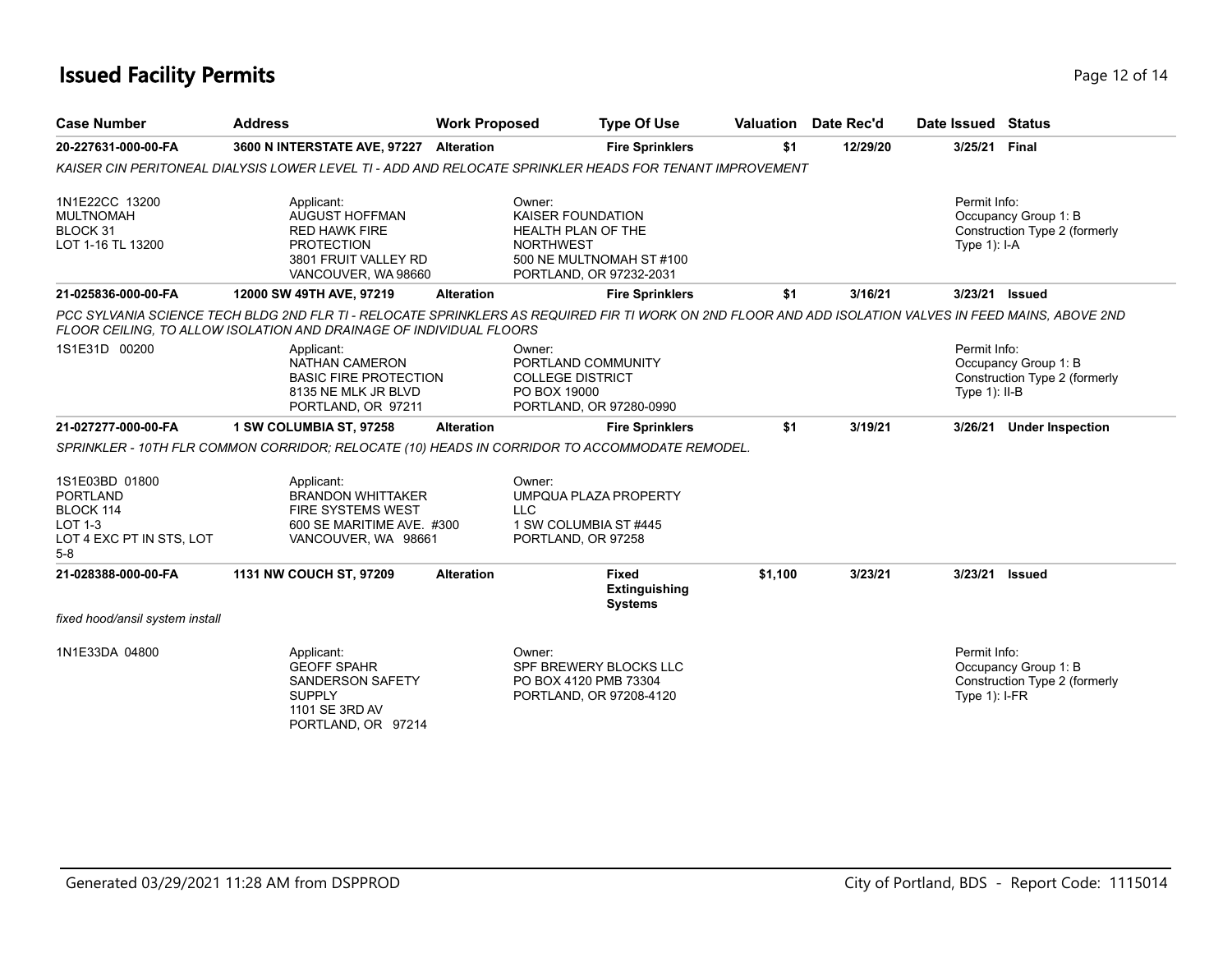### **Issued Facility Permits** Page 12 of 14

| <b>Case Number</b>                                                                                    | <b>Address</b>                                                                                                                  | <b>Work Proposed</b> | <b>Type Of Use</b>                                                                                                                  |         | <b>Valuation</b> Date Rec'd | Date Issued Status                                                                                                                                     |
|-------------------------------------------------------------------------------------------------------|---------------------------------------------------------------------------------------------------------------------------------|----------------------|-------------------------------------------------------------------------------------------------------------------------------------|---------|-----------------------------|--------------------------------------------------------------------------------------------------------------------------------------------------------|
| 20-227631-000-00-FA                                                                                   | 3600 N INTERSTATE AVE, 97227 Alteration                                                                                         |                      | <b>Fire Sprinklers</b>                                                                                                              | \$1     | 12/29/20                    | 3/25/21 Final                                                                                                                                          |
|                                                                                                       | KAISER CIN PERITONEAL DIALYSIS LOWER LEVEL TI - ADD AND RELOCATE SPRINKLER HEADS FOR TENANT IMPROVEMENT                         |                      |                                                                                                                                     |         |                             |                                                                                                                                                        |
| 1N1E22CC 13200<br><b>MULTNOMAH</b><br>BLOCK 31<br>LOT 1-16 TL 13200                                   | Applicant:<br><b>AUGUST HOFFMAN</b><br><b>RED HAWK FIRE</b><br><b>PROTECTION</b><br>3801 FRUIT VALLEY RD<br>VANCOUVER, WA 98660 |                      | Owner:<br><b>KAISER FOUNDATION</b><br>HEALTH PLAN OF THE<br><b>NORTHWEST</b><br>500 NE MULTNOMAH ST #100<br>PORTLAND, OR 97232-2031 |         |                             | Permit Info:<br>Occupancy Group 1: B<br>Construction Type 2 (formerly<br>Type 1): I-A                                                                  |
| 21-025836-000-00-FA                                                                                   | 12000 SW 49TH AVE, 97219                                                                                                        | <b>Alteration</b>    | <b>Fire Sprinklers</b>                                                                                                              | \$1     | 3/16/21                     | 3/23/21<br><b>Issued</b>                                                                                                                               |
|                                                                                                       | FLOOR CEILING, TO ALLOW ISOLATION AND DRAINAGE OF INDIVIDUAL FLOORS                                                             |                      |                                                                                                                                     |         |                             | PCC SYLVANIA SCIENCE TECH BLDG 2ND FLR TI - RELOCATE SPRINKLERS AS REQUIRED FIR TI WORK ON 2ND FLOOR AND ADD ISOLATION VALVES IN FEED MAINS, ABOVE 2ND |
| 1S1E31D 00200                                                                                         | Applicant:<br><b>NATHAN CAMERON</b><br><b>BASIC FIRE PROTECTION</b><br>8135 NE MLK JR BLVD<br>PORTLAND, OR 97211                |                      | Owner:<br>PORTLAND COMMUNITY<br><b>COLLEGE DISTRICT</b><br>PO BOX 19000<br>PORTLAND, OR 97280-0990                                  |         |                             | Permit Info:<br>Occupancy Group 1: B<br>Construction Type 2 (formerly<br>Type $1$ ): II-B                                                              |
| 21-027277-000-00-FA                                                                                   | 1 SW COLUMBIA ST, 97258                                                                                                         | <b>Alteration</b>    | <b>Fire Sprinklers</b>                                                                                                              | \$1     | 3/19/21                     | 3/26/21 Under Inspection                                                                                                                               |
|                                                                                                       | SPRINKLER - 10TH FLR COMMON CORRIDOR; RELOCATE (10) HEADS IN CORRIDOR TO ACCOMMODATE REMODEL.                                   |                      |                                                                                                                                     |         |                             |                                                                                                                                                        |
| 1S1E03BD 01800<br><b>PORTLAND</b><br>BLOCK 114<br><b>LOT 1-3</b><br>LOT 4 EXC PT IN STS, LOT<br>$5-8$ | Applicant:<br><b>BRANDON WHITTAKER</b><br><b>FIRE SYSTEMS WEST</b><br>600 SE MARITIME AVE. #300<br>VANCOUVER, WA 98661          | <b>LLC</b>           | Owner:<br><b>UMPQUA PLAZA PROPERTY</b><br>1 SW COLUMBIA ST #445<br>PORTLAND, OR 97258                                               |         |                             |                                                                                                                                                        |
| 21-028388-000-00-FA                                                                                   | 1131 NW COUCH ST, 97209                                                                                                         | <b>Alteration</b>    | <b>Fixed</b><br>Extinguishing<br><b>Systems</b>                                                                                     | \$1,100 | 3/23/21                     | 3/23/21<br><b>Issued</b>                                                                                                                               |
| fixed hood/ansil system install                                                                       |                                                                                                                                 |                      |                                                                                                                                     |         |                             |                                                                                                                                                        |
| 1N1E33DA 04800                                                                                        | Applicant:<br><b>GEOFF SPAHR</b><br>SANDERSON SAFETY<br><b>SUPPLY</b><br>1101 SE 3RD AV<br>PORTLAND, OR 97214                   |                      | Owner:<br>SPF BREWERY BLOCKS LLC<br>PO BOX 4120 PMB 73304<br>PORTLAND, OR 97208-4120                                                |         |                             | Permit Info:<br>Occupancy Group 1: B<br>Construction Type 2 (formerly<br>Type $1$ ): I-FR                                                              |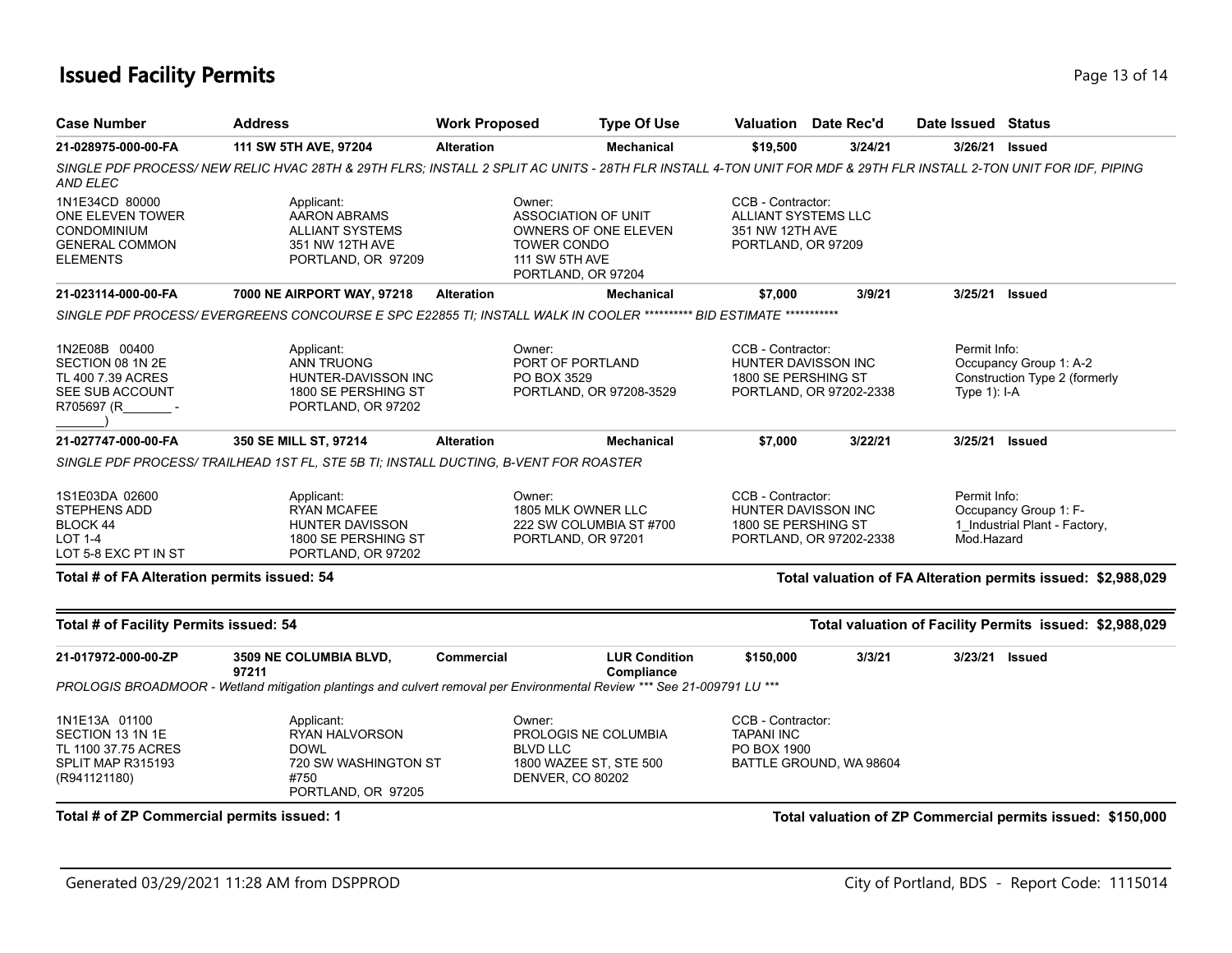### **Issued Facility Permits** Page 13 of 14

| <b>Case Number</b>                                                                            | <b>Address</b>                                                                                                                                                    | <b>Work Proposed</b>                                                                                                              | <b>Type Of Use</b>                                                                                     |                                                                                   | <b>Valuation</b> Date Rec'd | Date Issued Status             |                                                              |
|-----------------------------------------------------------------------------------------------|-------------------------------------------------------------------------------------------------------------------------------------------------------------------|-----------------------------------------------------------------------------------------------------------------------------------|--------------------------------------------------------------------------------------------------------|-----------------------------------------------------------------------------------|-----------------------------|--------------------------------|--------------------------------------------------------------|
| 21-028975-000-00-FA                                                                           | 111 SW 5TH AVE, 97204                                                                                                                                             | <b>Alteration</b>                                                                                                                 | <b>Mechanical</b>                                                                                      | \$19,500                                                                          | 3/24/21                     | 3/26/21                        | <b>Issued</b>                                                |
| <b>AND ELEC</b>                                                                               | SINGLE PDF PROCESS/ NEW RELIC HVAC 28TH & 29TH FLRS; INSTALL 2 SPLIT AC UNITS - 28TH FLR INSTALL 4-TON UNIT FOR MDF & 29TH FLR INSTALL 2-TON UNIT FOR IDF, PIPING |                                                                                                                                   |                                                                                                        |                                                                                   |                             |                                |                                                              |
| 1N1E34CD 80000<br>ONE ELEVEN TOWER<br>CONDOMINIUM<br><b>GENERAL COMMON</b><br><b>ELEMENTS</b> | Applicant:<br><b>AARON ABRAMS</b><br><b>ALLIANT SYSTEMS</b><br>351 NW 12TH AVE<br>PORTLAND, OR 97209                                                              | Owner:<br><b>ASSOCIATION OF UNIT</b><br>OWNERS OF ONE ELEVEN<br><b>TOWER CONDO</b><br><b>111 SW 5TH AVE</b><br>PORTLAND, OR 97204 |                                                                                                        | CCB - Contractor:<br>ALLIANT SYSTEMS LLC<br>351 NW 12TH AVE<br>PORTLAND, OR 97209 |                             |                                |                                                              |
| 21-023114-000-00-FA                                                                           | 7000 NE AIRPORT WAY, 97218                                                                                                                                        | <b>Alteration</b>                                                                                                                 | <b>Mechanical</b>                                                                                      | \$7,000                                                                           | 3/9/21                      | 3/25/21 Issued                 |                                                              |
|                                                                                               | SINGLE PDF PROCESS/ EVERGREENS CONCOURSE E SPC E22855 TI; INSTALL WALK IN COOLER ********** BID ESTIMATE ***********                                              |                                                                                                                                   |                                                                                                        |                                                                                   |                             |                                |                                                              |
| 1N2E08B 00400<br>SECTION 08 1N 2E<br>TL 400 7.39 ACRES<br>SEE SUB ACCOUNT<br>R705697 (R       | Applicant:<br><b>ANN TRUONG</b><br>HUNTER-DAVISSON INC<br>1800 SE PERSHING ST<br>PORTLAND, OR 97202                                                               |                                                                                                                                   | Owner:<br>PORT OF PORTLAND<br>PO BOX 3529<br>PORTLAND, OR 97208-3529                                   | CCB - Contractor:<br>HUNTER DAVISSON INC<br>1800 SE PERSHING ST                   | PORTLAND, OR 97202-2338     | Permit Info:<br>Type $1$ : I-A | Occupancy Group 1: A-2<br>Construction Type 2 (formerly      |
| 21-027747-000-00-FA                                                                           | 350 SE MILL ST, 97214                                                                                                                                             | <b>Alteration</b>                                                                                                                 | <b>Mechanical</b>                                                                                      | \$7,000                                                                           | 3/22/21                     | 3/25/21                        | <b>Issued</b>                                                |
|                                                                                               | SINGLE PDF PROCESS/ TRAILHEAD 1ST FL, STE 5B TI; INSTALL DUCTING, B-VENT FOR ROASTER                                                                              |                                                                                                                                   |                                                                                                        |                                                                                   |                             |                                |                                                              |
| 1S1E03DA 02600<br><b>STEPHENS ADD</b><br>BLOCK 44<br><b>LOT 1-4</b><br>LOT 5-8 EXC PT IN ST   | Applicant:<br><b>RYAN MCAFEE</b><br><b>HUNTER DAVISSON</b><br>1800 SE PERSHING ST<br>PORTLAND, OR 97202                                                           |                                                                                                                                   | Owner:<br>1805 MLK OWNER LLC<br>222 SW COLUMBIA ST #700<br>PORTLAND, OR 97201                          | CCB - Contractor:<br>HUNTER DAVISSON INC<br>1800 SE PERSHING ST                   | PORTLAND, OR 97202-2338     | Permit Info:<br>Mod.Hazard     | Occupancy Group 1: F-<br>1 Industrial Plant - Factory,       |
| Total # of FA Alteration permits issued: 54                                                   |                                                                                                                                                                   |                                                                                                                                   |                                                                                                        |                                                                                   |                             |                                | Total valuation of FA Alteration permits issued: \$2,988,029 |
| Total # of Facility Permits issued: 54                                                        |                                                                                                                                                                   |                                                                                                                                   |                                                                                                        |                                                                                   |                             |                                | Total valuation of Facility Permits issued: \$2,988,029      |
| 21-017972-000-00-ZP                                                                           | 3509 NE COLUMBIA BLVD,<br>97211                                                                                                                                   | Commercial                                                                                                                        | <b>LUR Condition</b><br>Compliance                                                                     | \$150,000                                                                         | 3/3/21                      | 3/23/21                        | <b>Issued</b>                                                |
|                                                                                               | PROLOGIS BROADMOOR - Wetland mitigation plantings and culvert removal per Environmental Review *** See 21-009791 LU ***                                           |                                                                                                                                   |                                                                                                        |                                                                                   |                             |                                |                                                              |
| 1N1E13A 01100<br>SECTION 13 1N 1E<br>TL 1100 37.75 ACRES<br>SPLIT MAP R315193<br>(R941121180) | Applicant:<br>RYAN HALVORSON<br><b>DOWL</b><br>720 SW WASHINGTON ST<br>#750<br>PORTLAND, OR 97205                                                                 |                                                                                                                                   | Owner:<br>PROLOGIS NE COLUMBIA<br><b>BLVD LLC</b><br>1800 WAZEE ST, STE 500<br><b>DENVER, CO 80202</b> | CCB - Contractor:<br><b>TAPANI INC</b><br>PO BOX 1900                             | BATTLE GROUND, WA 98604     |                                |                                                              |
| Total # of ZP Commercial permits issued: 1                                                    |                                                                                                                                                                   |                                                                                                                                   |                                                                                                        |                                                                                   |                             |                                | Total valuation of ZP Commercial permits issued: \$150,000   |